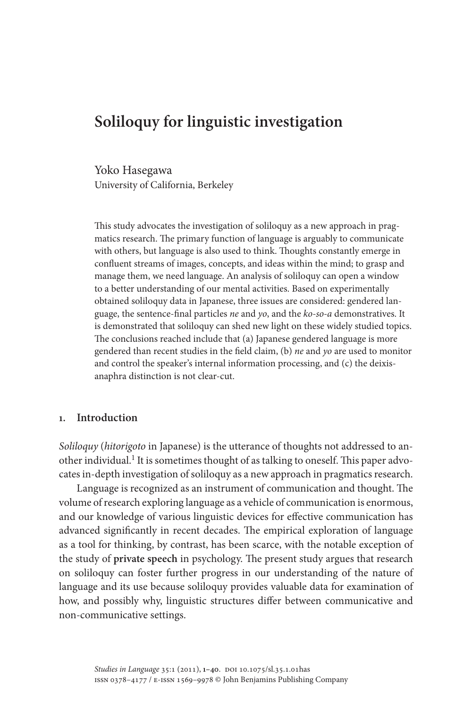# **Soliloquy for linguistic investigation**

Yoko Hasegawa University of California, Berkeley

This study advocates the investigation of soliloquy as a new approach in pragmatics research. The primary function of language is arguably to communicate with others, but language is also used to think. Thoughts constantly emerge in confluent streams of images, concepts, and ideas within the mind; to grasp and manage them, we need language. An analysis of soliloquy can open a window to a better understanding of our mental activities. Based on experimentally obtained soliloquy data in Japanese, three issues are considered: gendered language, the sentence-final particles *ne* and *yo*, and the *ko-so-a* demonstratives. It is demonstrated that soliloquy can shed new light on these widely studied topics. The conclusions reached include that (a) Japanese gendered language is more gendered than recent studies in the field claim, (b) *ne* and *yo* are used to monitor and control the speaker's internal information processing, and (c) the deixisanaphra distinction is not clear-cut.

# **1. Introduction**

*Soliloquy* (*hitorigoto* in Japanese) is the utterance of thoughts not addressed to another individual.<sup>1</sup> It is sometimes thought of as talking to oneself. This paper advocates in-depth investigation of soliloquy as a new approach in pragmatics research.

Language is recognized as an instrument of communication and thought. The volume of research exploring language as a vehicle of communication is enormous, and our knowledge of various linguistic devices for effective communication has advanced significantly in recent decades. The empirical exploration of language as a tool for thinking, by contrast, has been scarce, with the notable exception of the study of **private speech** in psychology. The present study argues that research on soliloquy can foster further progress in our understanding of the nature of language and its use because soliloquy provides valuable data for examination of how, and possibly why, linguistic structures differ between communicative and non-communicative settings.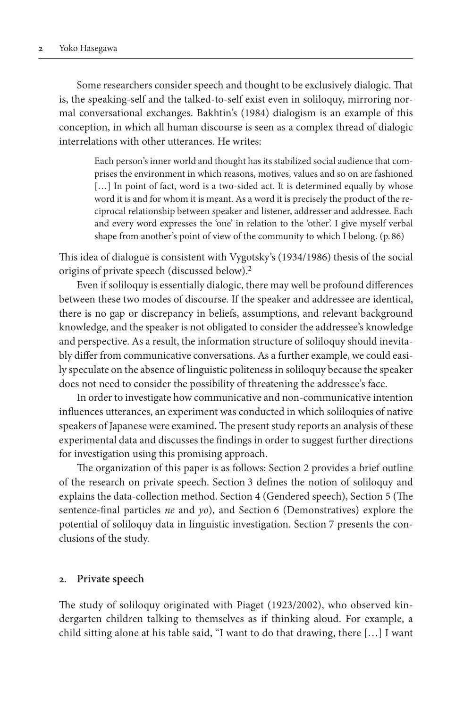Some researchers consider speech and thought to be exclusively dialogic. That is, the speaking-self and the talked-to-self exist even in soliloquy, mirroring normal conversational exchanges. Bakhtin's (1984) dialogism is an example of this conception, in which all human discourse is seen as a complex thread of dialogic interrelations with other utterances. He writes:

> Each person's inner world and thought has its stabilized social audience that comprises the environment in which reasons, motives, values and so on are fashioned [...] In point of fact, word is a two-sided act. It is determined equally by whose word it is and for whom it is meant. As a word it is precisely the product of the reciprocal relationship between speaker and listener, addresser and addressee. Each and every word expresses the 'one' in relation to the 'other'. I give myself verbal shape from another's point of view of the community to which I belong. (p. 86)

This idea of dialogue is consistent with Vygotsky's (1934/1986) thesis of the social origins of private speech (discussed below).2

Even if soliloquy is essentially dialogic, there may well be profound differences between these two modes of discourse. If the speaker and addressee are identical, there is no gap or discrepancy in beliefs, assumptions, and relevant background knowledge, and the speaker is not obligated to consider the addressee's knowledge and perspective. As a result, the information structure of soliloquy should inevitably differ from communicative conversations. As a further example, we could easily speculate on the absence of linguistic politeness in soliloquy because the speaker does not need to consider the possibility of threatening the addressee's face.

In order to investigate how communicative and non-communicative intention influences utterances, an experiment was conducted in which soliloquies of native speakers of Japanese were examined. The present study reports an analysis of these experimental data and discusses the findings in order to suggest further directions for investigation using this promising approach.

The organization of this paper is as follows: Section 2 provides a brief outline of the research on private speech. Section 3 defines the notion of soliloquy and explains the data-collection method. Section 4 (Gendered speech), Section 5 (The sentence-final particles *ne* and *yo*), and Section 6 (Demonstratives) explore the potential of soliloquy data in linguistic investigation. Section 7 presents the conclusions of the study.

## **2. Private speech**

The study of soliloquy originated with Piaget (1923/2002), who observed kindergarten children talking to themselves as if thinking aloud. For example, a child sitting alone at his table said, "I want to do that drawing, there […] I want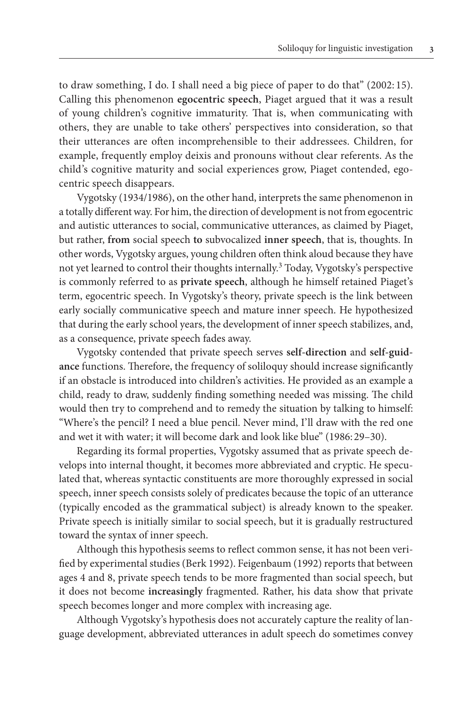to draw something, I do. I shall need a big piece of paper to do that" (2002: 15). Calling this phenomenon **egocentric speech**, Piaget argued that it was a result of young children's cognitive immaturity. That is, when communicating with others, they are unable to take others' perspectives into consideration, so that their utterances are often incomprehensible to their addressees. Children, for example, frequently employ deixis and pronouns without clear referents. As the child's cognitive maturity and social experiences grow, Piaget contended, egocentric speech disappears.

Vygotsky (1934/1986), on the other hand, interprets the same phenomenon in a totally different way. For him, the direction of development is not from egocentric and autistic utterances to social, communicative utterances, as claimed by Piaget, but rather, **from** social speech **to** subvocalized **inner speech**, that is, thoughts. In other words, Vygotsky argues, young children often think aloud because they have not yet learned to control their thoughts internally.<sup>3</sup> Today, Vygotsky's perspective is commonly referred to as **private speech**, although he himself retained Piaget's term, egocentric speech. In Vygotsky's theory, private speech is the link between early socially communicative speech and mature inner speech. He hypothesized that during the early school years, the development of inner speech stabilizes, and, as a consequence, private speech fades away.

Vygotsky contended that private speech serves **self-direction** and **self-guidance** functions. Therefore, the frequency of soliloquy should increase significantly if an obstacle is introduced into children's activities. He provided as an example a child, ready to draw, suddenly finding something needed was missing. The child would then try to comprehend and to remedy the situation by talking to himself: "Where's the pencil? I need a blue pencil. Never mind, I'll draw with the red one and wet it with water; it will become dark and look like blue" (1986: 29–30).

Regarding its formal properties, Vygotsky assumed that as private speech develops into internal thought, it becomes more abbreviated and cryptic. He speculated that, whereas syntactic constituents are more thoroughly expressed in social speech, inner speech consists solely of predicates because the topic of an utterance (typically encoded as the grammatical subject) is already known to the speaker. Private speech is initially similar to social speech, but it is gradually restructured toward the syntax of inner speech.

Although this hypothesis seems to reflect common sense, it has not been verified by experimental studies (Berk 1992). Feigenbaum (1992) reports that between ages 4 and 8, private speech tends to be more fragmented than social speech, but it does not become **increasingly** fragmented. Rather, his data show that private speech becomes longer and more complex with increasing age.

Although Vygotsky's hypothesis does not accurately capture the reality of language development, abbreviated utterances in adult speech do sometimes convey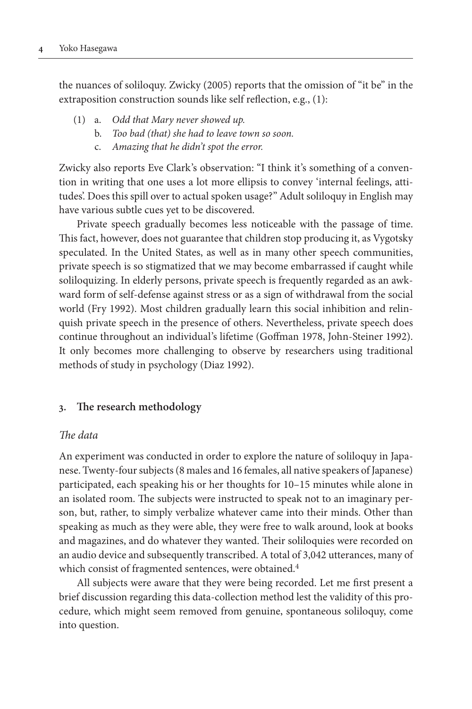the nuances of soliloquy. Zwicky (2005) reports that the omission of "it be" in the extraposition construction sounds like self reflection, e.g., (1):

- (1) a. *Odd that Mary never showed up.*
	- b. *Too bad (that) she had to leave town so soon.*
	- c. *Amazing that he didn't spot the error.*

Zwicky also reports Eve Clark's observation: "I think it's something of a convention in writing that one uses a lot more ellipsis to convey 'internal feelings, attitudes'. Does this spill over to actual spoken usage?" Adult soliloquy in English may have various subtle cues yet to be discovered.

Private speech gradually becomes less noticeable with the passage of time. This fact, however, does not guarantee that children stop producing it, as Vygotsky speculated. In the United States, as well as in many other speech communities, private speech is so stigmatized that we may become embarrassed if caught while soliloquizing. In elderly persons, private speech is frequently regarded as an awkward form of self-defense against stress or as a sign of withdrawal from the social world (Fry 1992). Most children gradually learn this social inhibition and relinquish private speech in the presence of others. Nevertheless, private speech does continue throughout an individual's lifetime (Goffman 1978, John-Steiner 1992). It only becomes more challenging to observe by researchers using traditional methods of study in psychology (Diaz 1992).

# **3. The research methodology**

## *The data*

An experiment was conducted in order to explore the nature of soliloquy in Japanese. Twenty-four subjects (8 males and 16 females, all native speakers of Japanese) participated, each speaking his or her thoughts for 10–15 minutes while alone in an isolated room. The subjects were instructed to speak not to an imaginary person, but, rather, to simply verbalize whatever came into their minds. Other than speaking as much as they were able, they were free to walk around, look at books and magazines, and do whatever they wanted. Their soliloquies were recorded on an audio device and subsequently transcribed. A total of 3,042 utterances, many of which consist of fragmented sentences, were obtained.<sup>4</sup>

All subjects were aware that they were being recorded. Let me first present a brief discussion regarding this data-collection method lest the validity of this procedure, which might seem removed from genuine, spontaneous soliloquy, come into question.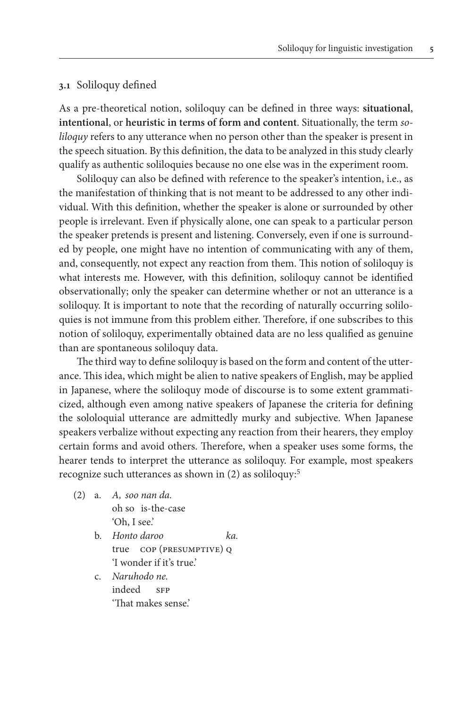## **3.1** Soliloquy defined

As a pre-theoretical notion, soliloquy can be defined in three ways: **situational**, **intentional**, or **heuristic in terms of form and content**. Situationally, the term *soliloquy* refers to any utterance when no person other than the speaker is present in the speech situation. By this definition, the data to be analyzed in this study clearly qualify as authentic soliloquies because no one else was in the experiment room.

Soliloquy can also be defined with reference to the speaker's intention, i.e., as the manifestation of thinking that is not meant to be addressed to any other individual. With this definition, whether the speaker is alone or surrounded by other people is irrelevant. Even if physically alone, one can speak to a particular person the speaker pretends is present and listening. Conversely, even if one is surrounded by people, one might have no intention of communicating with any of them, and, consequently, not expect any reaction from them. This notion of soliloquy is what interests me. However, with this definition, soliloquy cannot be identified observationally; only the speaker can determine whether or not an utterance is a soliloquy. It is important to note that the recording of naturally occurring soliloquies is not immune from this problem either. Therefore, if one subscribes to this notion of soliloquy, experimentally obtained data are no less qualified as genuine than are spontaneous soliloquy data.

The third way to define soliloquy is based on the form and content of the utterance. This idea, which might be alien to native speakers of English, may be applied in Japanese, where the soliloquy mode of discourse is to some extent grammaticized, although even among native speakers of Japanese the criteria for defining the sololoquial utterance are admittedly murky and subjective. When Japanese speakers verbalize without expecting any reaction from their hearers, they employ certain forms and avoid others. Therefore, when a speaker uses some forms, the hearer tends to interpret the utterance as soliloquy. For example, most speakers recognize such utterances as shown in (2) as soliloquy:5

- (2) a. *A, soo nan da.* oh so is-the-case 'Oh, I see.'
	- b. *Honto daroo ka.* true cop (presumptive) q 'I wonder if it's true.'
	- c. *Naruhodo ne.* indeed SFP 'That makes sense.'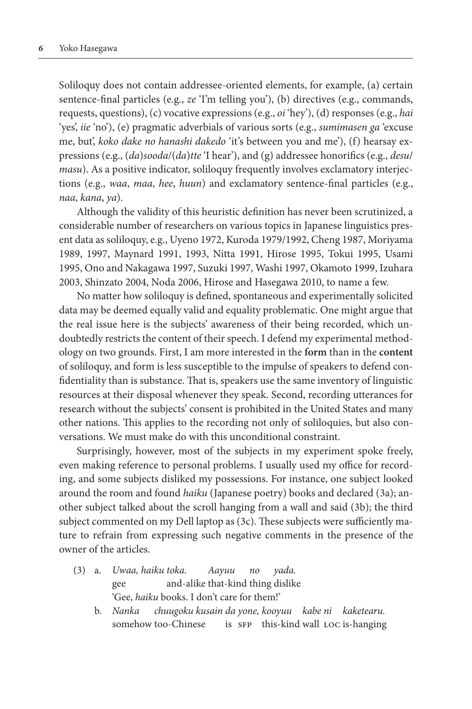Soliloquy does not contain addressee-oriented elements, for example, (a) certain sentence-final particles (e.g., *ze* 'I'm telling you'), (b) directives (e.g., commands, requests, questions), (c) vocative expressions (e.g., *oi* 'hey'), (d) responses (e.g., *hai* 'yes', *iie* 'no'), (e) pragmatic adverbials of various sorts (e.g., *sumimasen ga* 'excuse me, but', *koko dake no hanashi dakedo* 'it's between you and me'), (f) hearsay expressions (e.g., (*da*)*sooda*/(*da*)*tte* 'I hear'), and (g) addressee honorifics (e.g., *desu*/ *masu*). As a positive indicator, soliloquy frequently involves exclamatory interjections (e.g., *waa*, *maa*, *hee*, *huun*) and exclamatory sentence-final particles (e.g., *naa*, *kana*, *ya*).

Although the validity of this heuristic definition has never been scrutinized, a considerable number of researchers on various topics in Japanese linguistics present data as soliloquy, e.g., Uyeno 1972, Kuroda 1979/1992, Cheng 1987, Moriyama 1989, 1997, Maynard 1991, 1993, Nitta 1991, Hirose 1995, Tokui 1995, Usami 1995, Ono and Nakagawa 1997, Suzuki 1997, Washi 1997, Okamoto 1999, Izuhara 2003, Shinzato 2004, Noda 2006, Hirose and Hasegawa 2010, to name a few.

No matter how soliloquy is defined, spontaneous and experimentally solicited data may be deemed equally valid and equality problematic. One might argue that the real issue here is the subjects' awareness of their being recorded, which undoubtedly restricts the content of their speech. I defend my experimental methodology on two grounds. First, I am more interested in the **form** than in the **content** of soliloquy, and form is less susceptible to the impulse of speakers to defend confidentiality than is substance. That is, speakers use the same inventory of linguistic resources at their disposal whenever they speak. Second, recording utterances for research without the subjects' consent is prohibited in the United States and many other nations. This applies to the recording not only of soliloquies, but also conversations. We must make do with this unconditional constraint.

Surprisingly, however, most of the subjects in my experiment spoke freely, even making reference to personal problems. I usually used my office for recording, and some subjects disliked my possessions. For instance, one subject looked around the room and found *haiku* (Japanese poetry) books and declared (3a); another subject talked about the scroll hanging from a wall and said (3b); the third subject commented on my Dell laptop as (3c). These subjects were sufficiently mature to refrain from expressing such negative comments in the presence of the owner of the articles.

- (3) a. *Uwaa, haiku toka. Aayuu no yada.* gee and-alike that-kind thing dislike 'Gee, *haiku* books. I don't care for them!'
	- b. *Nanka chuugoku kusain da yone, kooyuu kabe ni kaketearu.* somehow too-Chinese is  $s$ FP this-kind wall LOC is-hanging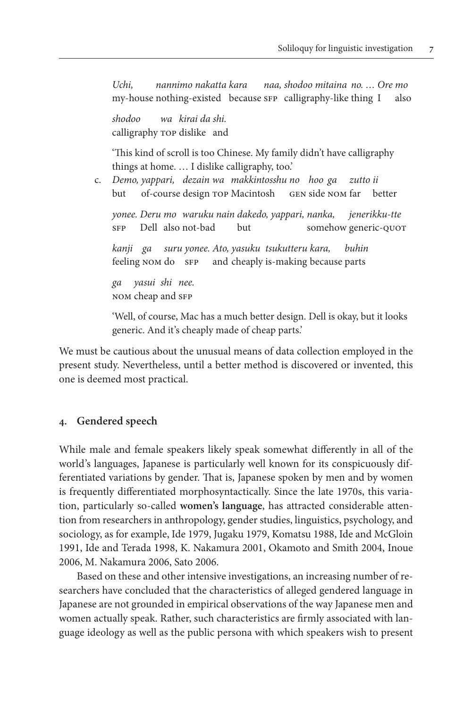*Uchi, nannimo nakatta kara naa, shodoo mitaina no. … Ore mo* my-house nothing-existed because sFP calligraphy-like thing I also

 *shodoo wa kirai da shi.* calligraphy top dislike and

 'This kind of scroll is too Chinese. My family didn't have calligraphy things at home. … I dislike calligraphy, too.'

 c. *Demo, yappari, dezain wa makkintosshu no hoo ga zutto ii* but of-course design top Macintosh gen side nom far better

 *yonee. Deru mo waruku nain dakedo, yappari, nanka, jenerikku-tte* sFP Dell also not-bad but somehow generic-QUOT

 *kanji ga suru yonee. Ato, yasuku tsukutteru kara, buhin* feeling NOM do SFP and cheaply is-making because parts

 *ga yasui shi nee.* nom cheap and sfp

 'Well, of course, Mac has a much better design. Dell is okay, but it looks generic. And it's cheaply made of cheap parts.'

We must be cautious about the unusual means of data collection employed in the present study. Nevertheless, until a better method is discovered or invented, this one is deemed most practical.

# **4. Gendered speech**

While male and female speakers likely speak somewhat differently in all of the world's languages, Japanese is particularly well known for its conspicuously differentiated variations by gender. That is, Japanese spoken by men and by women is frequently differentiated morphosyntactically. Since the late 1970s, this variation, particularly so-called **women's language**, has attracted considerable attention from researchers in anthropology, gender studies, linguistics, psychology, and sociology, as for example, Ide 1979, Jugaku 1979, Komatsu 1988, Ide and McGloin 1991, Ide and Terada 1998, K. Nakamura 2001, Okamoto and Smith 2004, Inoue 2006, M. Nakamura 2006, Sato 2006.

Based on these and other intensive investigations, an increasing number of researchers have concluded that the characteristics of alleged gendered language in Japanese are not grounded in empirical observations of the way Japanese men and women actually speak. Rather, such characteristics are firmly associated with language ideology as well as the public persona with which speakers wish to present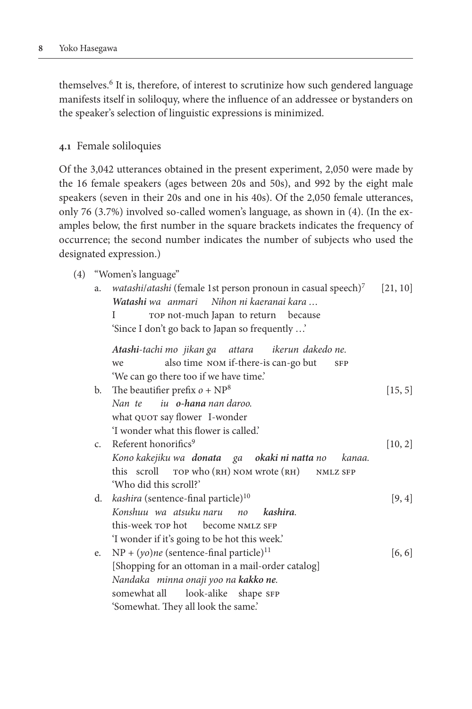themselves.6 It is, therefore, of interest to scrutinize how such gendered language manifests itself in soliloquy, where the influence of an addressee or bystanders on the speaker's selection of linguistic expressions is minimized.

## **4.1** Female soliloquies

Of the 3,042 utterances obtained in the present experiment, 2,050 were made by the 16 female speakers (ages between 20s and 50s), and 992 by the eight male speakers (seven in their 20s and one in his 40s). Of the 2,050 female utterances, only 76 (3.7%) involved so-called women's language, as shown in (4). (In the examples below, the first number in the square brackets indicates the frequency of occurrence; the second number indicates the number of subjects who used the designated expression.)

- (4) "Women's language"
	- a. *watashi/atashi* (female 1st person pronoun in casual speech)<sup>7</sup> [21, 10] *Watashi wa anmari Nihon ni kaeranai kara …*

```
I TOP not-much Japan to return because
'Since I don't go back to Japan so frequently …'
```

|    | Atashi-tachi mo jikan ga attara ikerun dakedo ne.                 |         |
|----|-------------------------------------------------------------------|---------|
|    | also time NOM if-there-is can-go but<br>we<br><b>SFP</b>          |         |
|    | 'We can go there too if we have time.'                            |         |
| b. | The beautifier prefix $o + NP^8$                                  | [15, 5] |
|    | Nan te iu o-hana nan daroo.                                       |         |
|    | what QUOT say flower I-wonder                                     |         |
|    | 'I wonder what this flower is called.'                            |         |
|    | c. Referent honorifics <sup>9</sup>                               | [10, 2] |
|    | Kono kakejiku wa <b>donata</b> ga <b>okaki ni natta</b> no kanaa. |         |
|    | this scroll TOP who (RH) NOM wrote (RH) NMLZ SFP                  |         |
|    | 'Who did this scroll?'                                            |         |
|    | d. kashira (sentence-final particle) <sup>10</sup>                | [9, 4]  |
|    | Konshuu wa atsuku naru no kashira.                                |         |
|    | this-week rop hot become NMLZ SFP                                 |         |
|    |                                                                   |         |
|    | 'I wonder if it's going to be hot this week.'                     |         |
| e. | $NP + (yo)ne$ (sentence-final particle) <sup>11</sup>             | [6, 6]  |
|    | [Shopping for an ottoman in a mail-order catalog]                 |         |
|    | Nandaka minna onaji yoo na kakko ne.                              |         |
|    | somewhat all look-alike shape SFP                                 |         |
|    | 'Somewhat. They all look the same.'                               |         |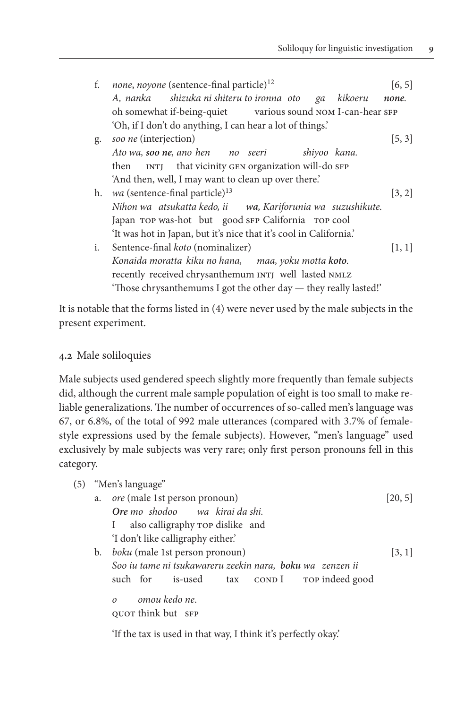| f. | none, noyone (sentence-final particle) <sup>12</sup><br>A, nanka shizuka ni shiteru to ironna oto<br>kikoeru<br>ga | [6, 5]<br>none. |
|----|--------------------------------------------------------------------------------------------------------------------|-----------------|
|    | oh somewhat if-being-quiet various sound NOM I-can-hear SFP                                                        |                 |
|    | 'Oh, if I don't do anything, I can hear a lot of things.'                                                          |                 |
| g. | soo ne (interjection)                                                                                              | [5, 3]          |
|    | Ato wa, soo ne, ano hen no seeri<br>shiyoo kana.                                                                   |                 |
|    | INTJ that vicinity GEN organization will-do SFP<br>then                                                            |                 |
|    | 'And then, well, I may want to clean up over there.'                                                               |                 |
| h. | wa (sentence-final particle) <sup>13</sup>                                                                         | [3, 2]          |
|    | Nihon wa atsukatta kedo, ii wa, Kariforunia wa suzushikute.                                                        |                 |
|    | Japan TOP was-hot but good SFP California TOP cool                                                                 |                 |
|    | 'It was hot in Japan, but it's nice that it's cool in California.'                                                 |                 |
| i. | Sentence-final <i>koto</i> (nominalizer)                                                                           | [1, 1]          |
|    | Konaida moratta kiku no hana, maa, yoku motta koto.                                                                |                 |
|    | recently received chrysanthemum INTJ well lasted NMLZ                                                              |                 |
|    | 'Those chrysanthemums I got the other day — they really lasted!'                                                   |                 |

It is notable that the forms listed in (4) were never used by the male subjects in the present experiment.

# **4.2** Male soliloquies

Male subjects used gendered speech slightly more frequently than female subjects did, although the current male sample population of eight is too small to make reliable generalizations. The number of occurrences of so-called men's language was 67, or 6.8%, of the total of 992 male utterances (compared with 3.7% of femalestyle expressions used by the female subjects). However, "men's language" used exclusively by male subjects was very rare; only first person pronouns fell in this category.

| (5) |    | "Men's language"                                          |         |
|-----|----|-----------------------------------------------------------|---------|
|     | a. | ore (male 1st person pronoun)                             | [20, 5] |
|     |    | Ore mo shodoo wa kirai da shi.                            |         |
|     |    | also calligraphy rop dislike and<br>$\mathbf{I}$          |         |
|     |    | 'I don't like calligraphy either.'                        |         |
|     | b. | boku (male 1st person pronoun)                            | 3, 1    |
|     |    | Soo iu tame ni tsukawareru zeekin nara, boku wa zenzen ii |         |
|     |    | such for is-used tax COND I TOP indeed good               |         |
|     |    | omou kedo ne.<br>$\Omega$                                 |         |
|     |    | QUOT think but SFP                                        |         |

'If the tax is used in that way, I think it's perfectly okay.'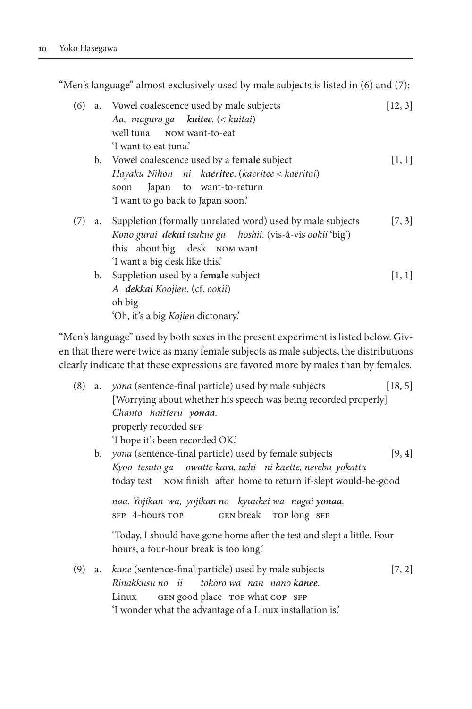"Men's language" almost exclusively used by male subjects is listed in (6) and (7):

| (6) |    | a. Vowel coalescence used by male subjects                 | [12, 3] |
|-----|----|------------------------------------------------------------|---------|
|     |    | Aa, maguro ga kuitee. (< kuitai)                           |         |
|     |    | well tuna NOM want-to-eat                                  |         |
|     |    | I want to eat tuna?                                        |         |
|     |    | b. Vowel coalescence used by a female subject              | [1, 1]  |
|     |    | Hayaku Nihon $ni$ <b>kaeritee</b> . (kaeritee < kaeritai)  |         |
|     |    | Japan to want-to-return<br>soon                            |         |
|     |    | 'I want to go back to Japan soon.'                         |         |
| (7) | a. | Suppletion (formally unrelated word) used by male subjects | [7, 3]  |
|     |    | Kono gurai dekai tsukue ga hoshii. (vis-à-vis ookii 'big') |         |
|     |    | this about big desk NOM want                               |         |
|     |    | 'I want a big desk like this.'                             |         |
|     |    | b. Suppletion used by a female subject                     | [1, 1]  |
|     |    | A dekkai Koojien. (cf. ookii)                              |         |
|     |    | oh big                                                     |         |
|     |    | 'Oh, it's a big Kojien dictonary'.                         |         |

"Men's language" used by both sexes in the present experiment is listed below. Given that there were twice as many female subjects as male subjects, the distributions clearly indicate that these expressions are favored more by males than by females.

| (8) |    | a. <i>yona</i> (sentence-final particle) used by male subjects                                                    | [18, 5] |
|-----|----|-------------------------------------------------------------------------------------------------------------------|---------|
|     |    | [Worrying about whether his speech was being recorded properly]                                                   |         |
|     |    | Chanto haitteru yonaa.                                                                                            |         |
|     |    | properly recorded SFP                                                                                             |         |
|     |    | 'I hope it's been recorded OK.'                                                                                   |         |
|     | b. | yona (sentence-final particle) used by female subjects                                                            | [9, 4]  |
|     |    | Kyoo tesuto ga owatte kara, uchi ni kaette, nereba yokatta                                                        |         |
|     |    | today test NOM finish after home to return if-slept would-be-good                                                 |         |
|     |    | naa. Yojikan wa, yojikan no kyuukei wa nagai yonaa.<br>SFP 4-hours TOP GEN break TOP long SFP                     |         |
|     |    | 'Today, I should have gone home after the test and slept a little. Four<br>hours, a four-hour break is too long.' |         |
| (9) | a. | kane (sentence-final particle) used by male subjects                                                              | [7, 2]  |
|     |    | Rinakkusu no ii tokoro wa nan nano kanee.                                                                         |         |
|     |    | GEN good place TOP what COP SFP<br>Linux                                                                          |         |
|     |    | 'I wonder what the advantage of a Linux installation is.'                                                         |         |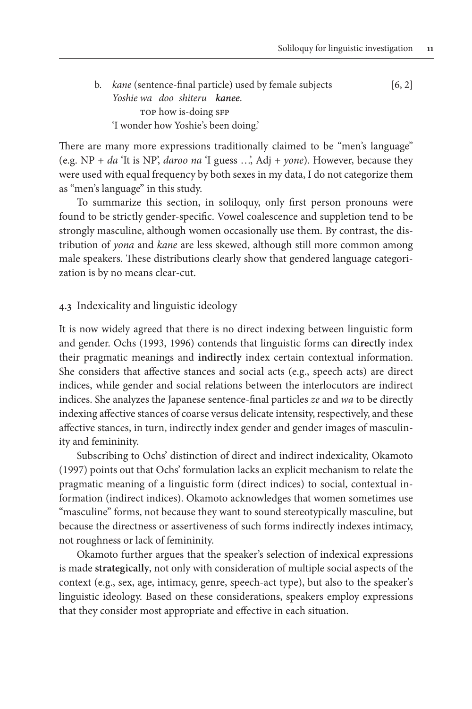b. *kane* (sentence-final particle) used by female subjects [6, 2] *Yoshie wa doo shiteru kanee*. TOP how is-doing SFP 'I wonder how Yoshie's been doing.'

There are many more expressions traditionally claimed to be "men's language" (e.g. NP + *da* 'It is NP', *daroo na* 'I guess …', Adj + *yone*). However, because they were used with equal frequency by both sexes in my data, I do not categorize them as "men's language" in this study.

To summarize this section, in soliloquy, only first person pronouns were found to be strictly gender-specific. Vowel coalescence and suppletion tend to be strongly masculine, although women occasionally use them. By contrast, the distribution of *yona* and *kane* are less skewed, although still more common among male speakers. These distributions clearly show that gendered language categorization is by no means clear-cut.

## **4.3** Indexicality and linguistic ideology

It is now widely agreed that there is no direct indexing between linguistic form and gender. Ochs (1993, 1996) contends that linguistic forms can **directly** index their pragmatic meanings and **indirectly** index certain contextual information. She considers that affective stances and social acts (e.g., speech acts) are direct indices, while gender and social relations between the interlocutors are indirect indices. She analyzes the Japanese sentence-final particles *ze* and *wa* to be directly indexing affective stances of coarse versus delicate intensity, respectively, and these affective stances, in turn, indirectly index gender and gender images of masculinity and femininity.

Subscribing to Ochs' distinction of direct and indirect indexicality, Okamoto (1997) points out that Ochs' formulation lacks an explicit mechanism to relate the pragmatic meaning of a linguistic form (direct indices) to social, contextual information (indirect indices). Okamoto acknowledges that women sometimes use "masculine" forms, not because they want to sound stereotypically masculine, but because the directness or assertiveness of such forms indirectly indexes intimacy, not roughness or lack of femininity.

Okamoto further argues that the speaker's selection of indexical expressions is made **strategically**, not only with consideration of multiple social aspects of the context (e.g., sex, age, intimacy, genre, speech-act type), but also to the speaker's linguistic ideology. Based on these considerations, speakers employ expressions that they consider most appropriate and effective in each situation.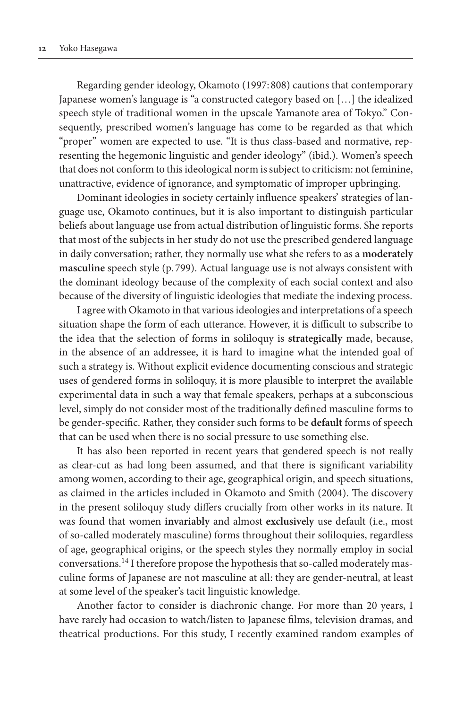Regarding gender ideology, Okamoto (1997: 808) cautions that contemporary Japanese women's language is "a constructed category based on […] the idealized speech style of traditional women in the upscale Yamanote area of Tokyo." Consequently, prescribed women's language has come to be regarded as that which "proper" women are expected to use. "It is thus class-based and normative, representing the hegemonic linguistic and gender ideology" (ibid.). Women's speech that does not conform to this ideological norm is subject to criticism: not feminine, unattractive, evidence of ignorance, and symptomatic of improper upbringing.

Dominant ideologies in society certainly influence speakers' strategies of language use, Okamoto continues, but it is also important to distinguish particular beliefs about language use from actual distribution of linguistic forms. She reports that most of the subjects in her study do not use the prescribed gendered language in daily conversation; rather, they normally use what she refers to as a **moderately masculine** speech style (p. 799). Actual language use is not always consistent with the dominant ideology because of the complexity of each social context and also because of the diversity of linguistic ideologies that mediate the indexing process.

I agree with Okamoto in that various ideologies and interpretations of a speech situation shape the form of each utterance. However, it is difficult to subscribe to the idea that the selection of forms in soliloquy is **strategically** made, because, in the absence of an addressee, it is hard to imagine what the intended goal of such a strategy is. Without explicit evidence documenting conscious and strategic uses of gendered forms in soliloquy, it is more plausible to interpret the available experimental data in such a way that female speakers, perhaps at a subconscious level, simply do not consider most of the traditionally defined masculine forms to be gender-specific. Rather, they consider such forms to be **default** forms of speech that can be used when there is no social pressure to use something else.

It has also been reported in recent years that gendered speech is not really as clear-cut as had long been assumed, and that there is significant variability among women, according to their age, geographical origin, and speech situations, as claimed in the articles included in Okamoto and Smith (2004). The discovery in the present soliloquy study differs crucially from other works in its nature. It was found that women **invariably** and almost **exclusively** use default (i.e., most of so-called moderately masculine) forms throughout their soliloquies, regardless of age, geographical origins, or the speech styles they normally employ in social conversations.14 I therefore propose the hypothesis that so-called moderately masculine forms of Japanese are not masculine at all: they are gender-neutral, at least at some level of the speaker's tacit linguistic knowledge.

Another factor to consider is diachronic change. For more than 20 years, I have rarely had occasion to watch/listen to Japanese films, television dramas, and theatrical productions. For this study, I recently examined random examples of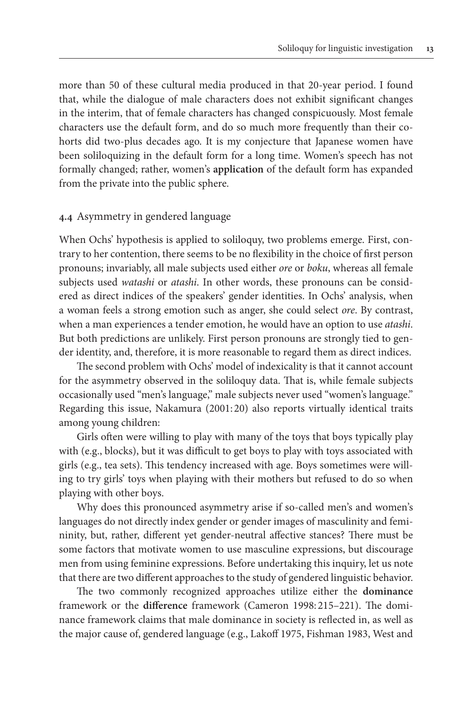more than 50 of these cultural media produced in that 20-year period. I found that, while the dialogue of male characters does not exhibit significant changes in the interim, that of female characters has changed conspicuously. Most female characters use the default form, and do so much more frequently than their cohorts did two-plus decades ago. It is my conjecture that Japanese women have been soliloquizing in the default form for a long time. Women's speech has not formally changed; rather, women's **application** of the default form has expanded from the private into the public sphere.

## **4.4** Asymmetry in gendered language

When Ochs' hypothesis is applied to soliloquy, two problems emerge. First, contrary to her contention, there seems to be no flexibility in the choice of first person pronouns; invariably, all male subjects used either *ore* or *boku*, whereas all female subjects used *watashi* or *atashi*. In other words, these pronouns can be considered as direct indices of the speakers' gender identities. In Ochs' analysis, when a woman feels a strong emotion such as anger, she could select *ore*. By contrast, when a man experiences a tender emotion, he would have an option to use *atashi*. But both predictions are unlikely. First person pronouns are strongly tied to gender identity, and, therefore, it is more reasonable to regard them as direct indices.

The second problem with Ochs' model of indexicality is that it cannot account for the asymmetry observed in the soliloquy data. That is, while female subjects occasionally used "men's language," male subjects never used "women's language." Regarding this issue, Nakamura (2001: 20) also reports virtually identical traits among young children:

Girls often were willing to play with many of the toys that boys typically play with (e.g., blocks), but it was difficult to get boys to play with toys associated with girls (e.g., tea sets). This tendency increased with age. Boys sometimes were willing to try girls' toys when playing with their mothers but refused to do so when playing with other boys.

Why does this pronounced asymmetry arise if so-called men's and women's languages do not directly index gender or gender images of masculinity and femininity, but, rather, different yet gender-neutral affective stances? There must be some factors that motivate women to use masculine expressions, but discourage men from using feminine expressions. Before undertaking this inquiry, let us note that there are two different approaches to the study of gendered linguistic behavior.

The two commonly recognized approaches utilize either the **dominance** framework or the **difference** framework (Cameron 1998: 215–221). The dominance framework claims that male dominance in society is reflected in, as well as the major cause of, gendered language (e.g., Lakoff 1975, Fishman 1983, West and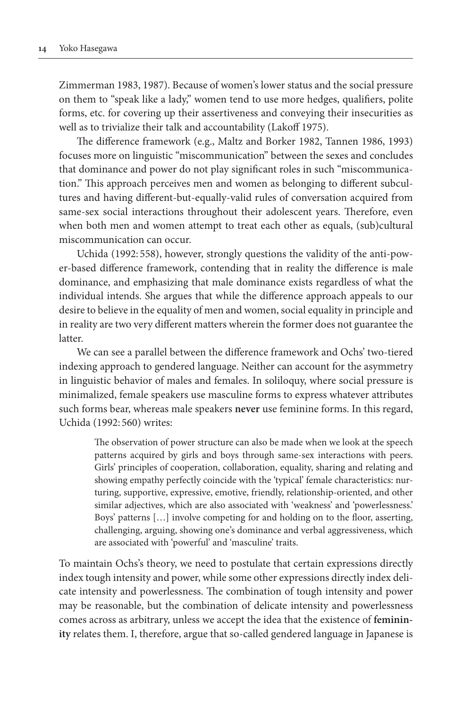Zimmerman 1983, 1987). Because of women's lower status and the social pressure on them to "speak like a lady," women tend to use more hedges, qualifiers, polite forms, etc. for covering up their assertiveness and conveying their insecurities as well as to trivialize their talk and accountability (Lakoff 1975).

The difference framework (e.g., Maltz and Borker 1982, Tannen 1986, 1993) focuses more on linguistic "miscommunication" between the sexes and concludes that dominance and power do not play significant roles in such "miscommunication." This approach perceives men and women as belonging to different subcultures and having different-but-equally-valid rules of conversation acquired from same-sex social interactions throughout their adolescent years. Therefore, even when both men and women attempt to treat each other as equals, (sub)cultural miscommunication can occur.

Uchida (1992: 558), however, strongly questions the validity of the anti-power-based difference framework, contending that in reality the difference is male dominance, and emphasizing that male dominance exists regardless of what the individual intends. She argues that while the difference approach appeals to our desire to believe in the equality of men and women, social equality in principle and in reality are two very different matters wherein the former does not guarantee the latter.

We can see a parallel between the difference framework and Ochs' two-tiered indexing approach to gendered language. Neither can account for the asymmetry in linguistic behavior of males and females. In soliloquy, where social pressure is minimalized, female speakers use masculine forms to express whatever attributes such forms bear, whereas male speakers **never** use feminine forms. In this regard, Uchida (1992: 560) writes:

The observation of power structure can also be made when we look at the speech patterns acquired by girls and boys through same-sex interactions with peers. Girls' principles of cooperation, collaboration, equality, sharing and relating and showing empathy perfectly coincide with the 'typical' female characteristics: nurturing, supportive, expressive, emotive, friendly, relationship-oriented, and other similar adjectives, which are also associated with 'weakness' and 'powerlessness.' Boys' patterns […] involve competing for and holding on to the floor, asserting, challenging, arguing, showing one's dominance and verbal aggressiveness, which are associated with 'powerful' and 'masculine' traits.

To maintain Ochs's theory, we need to postulate that certain expressions directly index tough intensity and power, while some other expressions directly index delicate intensity and powerlessness. The combination of tough intensity and power may be reasonable, but the combination of delicate intensity and powerlessness comes across as arbitrary, unless we accept the idea that the existence of **femininity** relates them. I, therefore, argue that so-called gendered language in Japanese is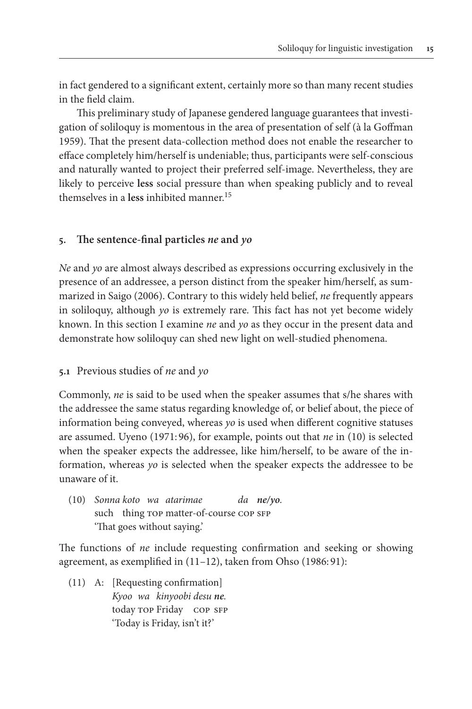in fact gendered to a significant extent, certainly more so than many recent studies in the field claim.

This preliminary study of Japanese gendered language guarantees that investigation of soliloquy is momentous in the area of presentation of self (à la Goffman 1959). That the present data-collection method does not enable the researcher to efface completely him/herself is undeniable; thus, participants were self-conscious and naturally wanted to project their preferred self-image. Nevertheless, they are likely to perceive **less** social pressure than when speaking publicly and to reveal themselves in a **less** inhibited manner.15

# **5. The sentence-final particles** *ne* **and** *yo*

*Ne* and *yo* are almost always described as expressions occurring exclusively in the presence of an addressee, a person distinct from the speaker him/herself, as summarized in Saigo (2006). Contrary to this widely held belief, *ne* frequently appears in soliloquy, although *yo* is extremely rare. This fact has not yet become widely known. In this section I examine *ne* and *yo* as they occur in the present data and demonstrate how soliloquy can shed new light on well-studied phenomena.

# **5.1** Previous studies of *ne* and *yo*

Commonly, *ne* is said to be used when the speaker assumes that s/he shares with the addressee the same status regarding knowledge of, or belief about, the piece of information being conveyed, whereas *yo* is used when different cognitive statuses are assumed. Uyeno (1971: 96), for example, points out that *ne* in (10) is selected when the speaker expects the addressee, like him/herself, to be aware of the information, whereas *yo* is selected when the speaker expects the addressee to be unaware of it.

(10) *Sonna koto wa atarimae da ne/yo.* such thing TOP matter-of-course COP SFP 'That goes without saying.'

The functions of *ne* include requesting confirmation and seeking or showing agreement, as exemplified in (11–12), taken from Ohso (1986: 91):

(11) A: [Requesting confirmation] *Kyoo wa kinyoobi desu ne.* today TOP Friday COP SFP 'Today is Friday, isn't it?'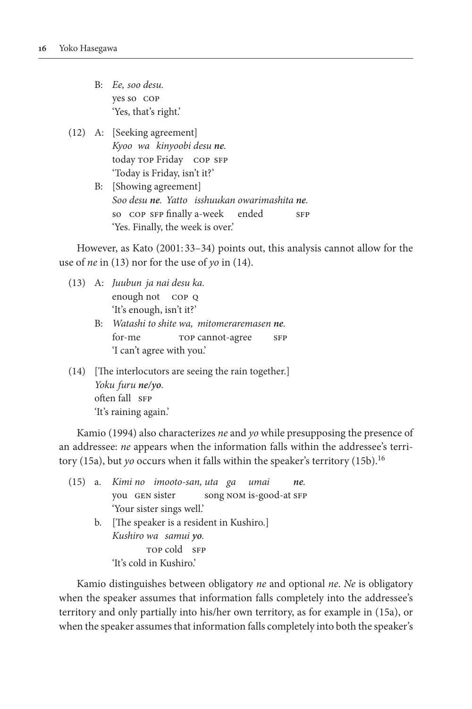- B: *Ee, soo desu.* yes so cop 'Yes, that's right.'
- (12) A: [Seeking agreement] *Kyoo wa kinyoobi desu ne.* today TOP Friday COP SFP 'Today is Friday, isn't it?'
	- B: [Showing agreement] *Soo desu ne. Yatto isshuukan owarimashita ne.* so cop sfp finally a-week ended sfp 'Yes. Finally, the week is over.'

However, as Kato (2001: 33–34) points out, this analysis cannot allow for the use of *ne* in (13) nor for the use of *yo* in (14).

- (13) A: *Juubun ja nai desu ka.* enough not cop q 'It's enough, isn't it?'
	- B: *Watashi to shite wa, mitomeraremasen ne.* for-me TOP cannot-agree SFP 'I can't agree with you.'
- (14) [The interlocutors are seeing the rain together.] *Yoku furu ne/yo.* often fall SFP 'It's raining again.'

Kamio (1994) also characterizes *ne* and *yo* while presupposing the presence of an addressee: *ne* appears when the information falls within the addressee's territory (15a), but *yo* occurs when it falls within the speaker's territory (15b).16

|  | (15) a. Kimi no imooto-san, uta ga umai<br>ne. |
|--|------------------------------------------------|
|  | you GEN sister song NOM is-good-at SFP         |
|  | 'Your sister sings well.'                      |
|  | b. [The speaker is a resident in Kushiro.]     |
|  | Kushiro wa samui yo.                           |
|  | TOP cold SFP                                   |
|  | 'It's cold in Kushiro.'                        |

Kamio distinguishes between obligatory *ne* and optional *ne*. *Ne* is obligatory when the speaker assumes that information falls completely into the addressee's territory and only partially into his/her own territory, as for example in (15a), or when the speaker assumes that information falls completely into both the speaker's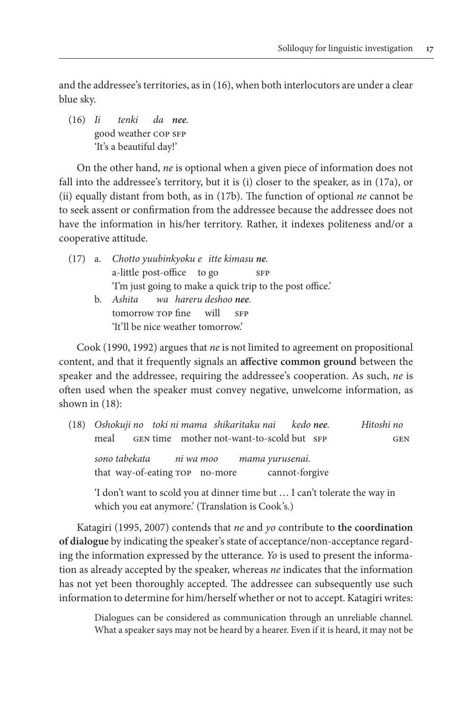and the addressee's territories, as in (16), when both interlocutors are under a clear blue sky.

(16) *Ii tenki da nee.* good weather COP SFP 'It's a beautiful day!'

On the other hand, *ne* is optional when a given piece of information does not fall into the addressee's territory, but it is (i) closer to the speaker, as in (17a), or (ii) equally distant from both, as in (17b). The function of optional *ne* cannot be to seek assent or confirmation from the addressee because the addressee does not have the information in his/her territory. Rather, it indexes politeness and/or a cooperative attitude.

- (17) a. *Chotto yuubinkyoku e itte kimasu ne.* a-little post-office to go sFP 'I'm just going to make a quick trip to the post office.' b. *Ashita wa hareru deshoo nee.*
	- tomorrow top fine will sFP 'It'll be nice weather tomorrow.'

Cook (1990, 1992) argues that *ne* is not limited to agreement on propositional content, and that it frequently signals an **affective common ground** between the speaker and the addressee, requiring the addressee's cooperation. As such, *ne* is often used when the speaker must convey negative, unwelcome information, as shown in (18):

| (18) Oshokuji no toki ni mama shikaritaku nai kedo nee.                   |                                           |                | Hitoshi no |
|---------------------------------------------------------------------------|-------------------------------------------|----------------|------------|
| meal                                                                      | GEN time mother not-want-to-scold but SFP |                | <b>GEN</b> |
| sono tabekata hi wa moo kama yurusenai.<br>that way-of-eating rop no-more |                                           | cannot-forgive |            |

 'I don't want to scold you at dinner time but … I can't tolerate the way in which you eat anymore.' (Translation is Cook's.)

Katagiri (1995, 2007) contends that *ne* and *yo* contribute to **the coordination of dialogue** by indicating the speaker's state of acceptance/non-acceptance regarding the information expressed by the utterance. *Yo* is used to present the information as already accepted by the speaker, whereas *ne* indicates that the information has not yet been thoroughly accepted. The addressee can subsequently use such information to determine for him/herself whether or not to accept. Katagiri writes:

Dialogues can be considered as communication through an unreliable channel. What a speaker says may not be heard by a hearer. Even if it is heard, it may not be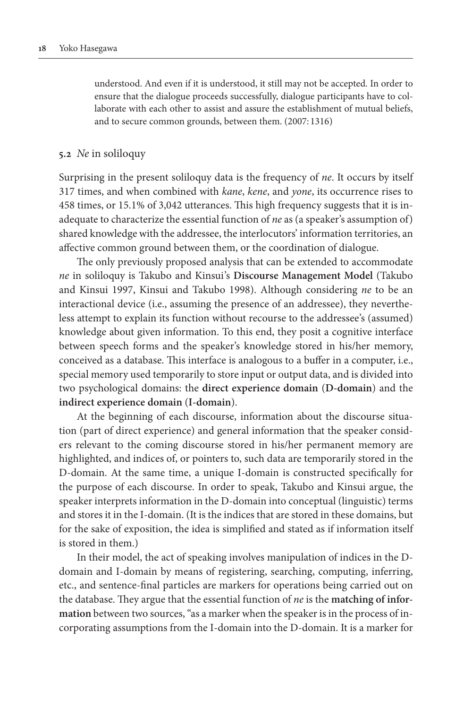understood. And even if it is understood, it still may not be accepted. In order to ensure that the dialogue proceeds successfully, dialogue participants have to collaborate with each other to assist and assure the establishment of mutual beliefs, and to secure common grounds, between them. (2007: 1316)

#### **5.2** *Ne* in soliloquy

Surprising in the present soliloquy data is the frequency of *ne*. It occurs by itself 317 times, and when combined with *kane*, *kene*, and *yone*, its occurrence rises to 458 times, or 15.1% of 3,042 utterances. This high frequency suggests that it is inadequate to characterize the essential function of *ne* as (a speaker's assumption of) shared knowledge with the addressee, the interlocutors' information territories, an affective common ground between them, or the coordination of dialogue.

The only previously proposed analysis that can be extended to accommodate *ne* in soliloquy is Takubo and Kinsui's **Discourse Management Model** (Takubo and Kinsui 1997, Kinsui and Takubo 1998). Although considering *ne* to be an interactional device (i.e., assuming the presence of an addressee), they nevertheless attempt to explain its function without recourse to the addressee's (assumed) knowledge about given information. To this end, they posit a cognitive interface between speech forms and the speaker's knowledge stored in his/her memory, conceived as a database. This interface is analogous to a buffer in a computer, i.e., special memory used temporarily to store input or output data, and is divided into two psychological domains: the **direct experience domain** (**D-domain**) and the **indirect experience domain** (**I-domain**).

At the beginning of each discourse, information about the discourse situation (part of direct experience) and general information that the speaker considers relevant to the coming discourse stored in his/her permanent memory are highlighted, and indices of, or pointers to, such data are temporarily stored in the D-domain. At the same time, a unique I-domain is constructed specifically for the purpose of each discourse. In order to speak, Takubo and Kinsui argue, the speaker interprets information in the D-domain into conceptual (linguistic) terms and stores it in the I-domain. (It is the indices that are stored in these domains, but for the sake of exposition, the idea is simplified and stated as if information itself is stored in them.)

In their model, the act of speaking involves manipulation of indices in the Ddomain and I-domain by means of registering, searching, computing, inferring, etc., and sentence-final particles are markers for operations being carried out on the database. They argue that the essential function of *ne* is the **matching of information** between two sources, "as a marker when the speaker is in the process of incorporating assumptions from the I-domain into the D-domain. It is a marker for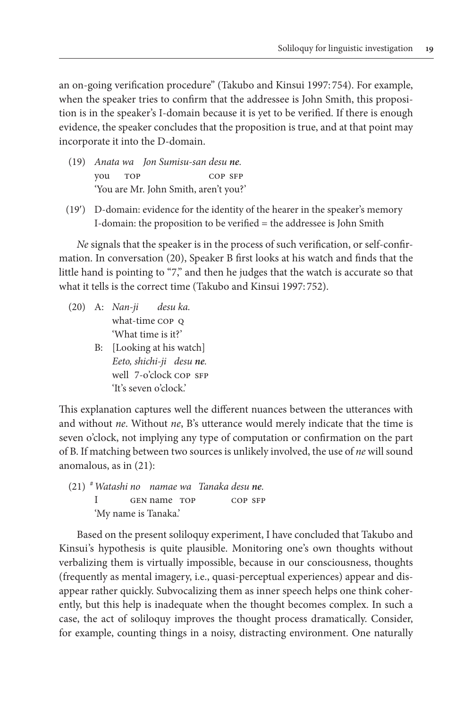an on-going verification procedure" (Takubo and Kinsui 1997: 754). For example, when the speaker tries to confirm that the addressee is John Smith, this proposition is in the speaker's I-domain because it is yet to be verified. If there is enough evidence, the speaker concludes that the proposition is true, and at that point may incorporate it into the D-domain.

- (19) *Anata wa Jon Sumisu-san desu ne.* you top cop sfp 'You are Mr. John Smith, aren't you?'
- (19′) D-domain: evidence for the identity of the hearer in the speaker's memory I-domain: the proposition to be verified = the addressee is John Smith

*Ne* signals that the speaker is in the process of such verification, or self-confirmation. In conversation (20), Speaker B first looks at his watch and finds that the little hand is pointing to "7," and then he judges that the watch is accurate so that what it tells is the correct time (Takubo and Kinsui 1997: 752).

- (20) A: *Nan-ji desu ka.* what-time COP Q 'What time is it?'
	- B: [Looking at his watch] *Eeto, shichi-ji desu ne.* well 7-o'clock cop SFP 'It's seven o'clock.'

This explanation captures well the different nuances between the utterances with and without *ne*. Without *ne*, B's utterance would merely indicate that the time is seven o'clock, not implying any type of computation or confirmation on the part of B. If matching between two sources is unlikely involved, the use of *ne* will sound anomalous, as in (21):

(21) #*Watashi no namae wa Tanaka desu ne.* I GEN name TOP COP SFP 'My name is Tanaka.'

Based on the present soliloquy experiment, I have concluded that Takubo and Kinsui's hypothesis is quite plausible. Monitoring one's own thoughts without verbalizing them is virtually impossible, because in our consciousness, thoughts (frequently as mental imagery, i.e., quasi-perceptual experiences) appear and disappear rather quickly. Subvocalizing them as inner speech helps one think coherently, but this help is inadequate when the thought becomes complex. In such a case, the act of soliloquy improves the thought process dramatically. Consider, for example, counting things in a noisy, distracting environment. One naturally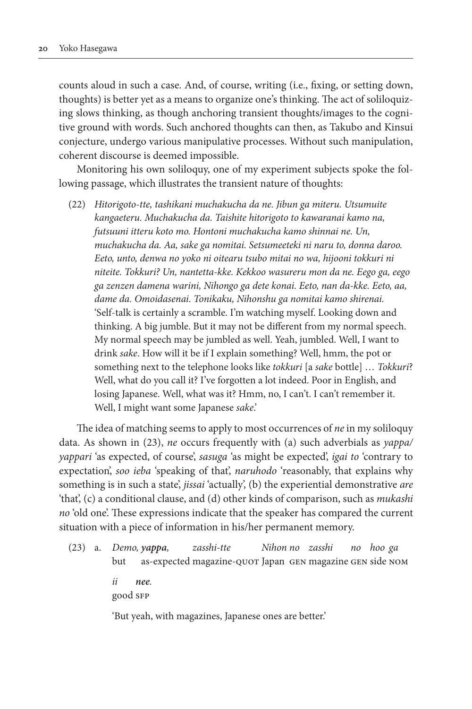counts aloud in such a case. And, of course, writing (i.e., fixing, or setting down, thoughts) is better yet as a means to organize one's thinking. The act of soliloquizing slows thinking, as though anchoring transient thoughts/images to the cognitive ground with words. Such anchored thoughts can then, as Takubo and Kinsui conjecture, undergo various manipulative processes. Without such manipulation, coherent discourse is deemed impossible.

Monitoring his own soliloquy, one of my experiment subjects spoke the following passage, which illustrates the transient nature of thoughts:

(22) *Hitorigoto-tte, tashikani muchakucha da ne. Jibun ga miteru. Utsumuite kangaeteru. Muchakucha da. Taishite hitorigoto to kawaranai kamo na, futsuuni itteru koto mo. Hontoni muchakucha kamo shinnai ne. Un, muchakucha da. Aa, sake ga nomitai. Setsumeeteki ni naru to, donna daroo. Eeto, unto, denwa no yoko ni oitearu tsubo mitai no wa, hijooni tokkuri ni niteite. Tokkuri? Un, nantetta-kke. Kekkoo wasureru mon da ne. Eego ga, eego ga zenzen damena warini, Nihongo ga dete konai. Eeto, nan da-kke. Eeto, aa, dame da. Omoidasenai. Tonikaku, Nihonshu ga nomitai kamo shirenai.* 'Self-talk is certainly a scramble. I'm watching myself. Looking down and thinking. A big jumble. But it may not be different from my normal speech. My normal speech may be jumbled as well. Yeah, jumbled. Well, I want to drink *sake*. How will it be if I explain something? Well, hmm, the pot or something next to the telephone looks like *tokkuri* [a *sake* bottle] … *Tokkuri*? Well, what do you call it? I've forgotten a lot indeed. Poor in English, and losing Japanese. Well, what was it? Hmm, no, I can't. I can't remember it. Well, I might want some Japanese *sake*.'

The idea of matching seems to apply to most occurrences of *ne* in my soliloquy data. As shown in (23), *ne* occurs frequently with (a) such adverbials as *yappa/ yappari* 'as expected, of course', *sasuga* 'as might be expected', *igai to* 'contrary to expectation', *soo ieba* 'speaking of that', *naruhodo* 'reasonably, that explains why something is in such a state', *jissai* 'actually', (b) the experiential demonstrative *are* 'that', (c) a conditional clause, and (d) other kinds of comparison, such as *mukashi no* 'old one'. These expressions indicate that the speaker has compared the current situation with a piece of information in his/her permanent memory.

(23) a. *Demo, yappa, zasshi-tte Nihon no zasshi no hoo ga* but as-expected magazine-QUOT Japan GEN magazine GEN side NOM *ii nee.* good sfp

'But yeah, with magazines, Japanese ones are better.'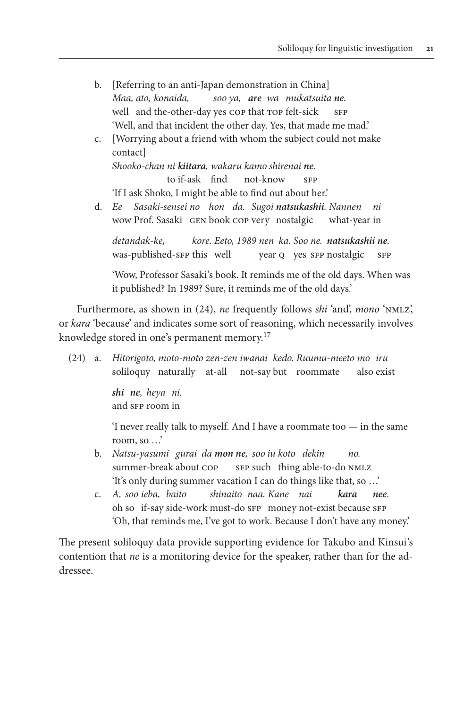- b. [Referring to an anti-Japan demonstration in China] *Maa, ato, konaida, soo ya, are wa mukatsuita ne.* well and the-other-day yes cop that TOP felt-sick SFP 'Well, and that incident the other day. Yes, that made me mad.'
- c. [Worrying about a friend with whom the subject could not make contact] *Shooko-chan ni kiitara, wakaru kamo shirenai ne.* to if-ask find not-know SFP 'If I ask Shoko, I might be able to find out about her.'
- d. *Ee Sasaki-sensei no hon da. Sugoi natsukashii. Nannen ni* wow Prof. Sasaki gen book cop very nostalgic what-year in

 *detandak-ke, kore. Eeto, 1989 nen ka. Soo ne. natsukashii ne.* was-published-sfp this well year q yes sfp nostalgic sfp

 'Wow, Professor Sasaki's book. It reminds me of the old days. When was it published? In 1989? Sure, it reminds me of the old days.'

Furthermore, as shown in (24), *ne* frequently follows *shi* 'and', *mono* 'nmlz', or *kara* 'because' and indicates some sort of reasoning, which necessarily involves knowledge stored in one's permanent memory.17

(24) a. *Hitorigoto, moto-moto zen-zen iwanai kedo. Ruumu-meeto mo iru* soliloquy naturally at-all not-say but roommate also exist

> *shi ne, heya ni.* and sFP room in

 'I never really talk to myself. And I have a roommate too — in the same room, so …'

- b. *Natsu-yasumi gurai da mon ne, soo iu koto dekin no.* summer-break about COP sFP such thing able-to-do NMLZ 'It's only during summer vacation I can do things like that, so …'
- c. *A, soo ieba, baito shinaito naa. Kane nai kara nee.* oh so if-say side-work must-do SFP money not-exist because SFP 'Oh, that reminds me, I've got to work. Because I don't have any money.'

The present soliloquy data provide supporting evidence for Takubo and Kinsui's contention that *ne* is a monitoring device for the speaker, rather than for the addressee.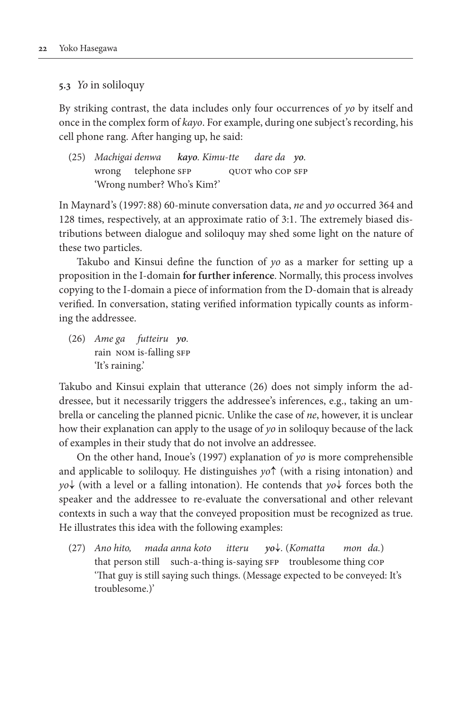# **5.3** *Yo* in soliloquy

By striking contrast, the data includes only four occurrences of *yo* by itself and once in the complex form of *kayo*. For example, during one subject's recording, his cell phone rang. After hanging up, he said:

(25) *Machigai denwa kayo. Kimu-tte dare da yo.* wrong telephone sfp quot who cop sfp 'Wrong number? Who's Kim?'

In Maynard's (1997: 88) 60-minute conversation data, *ne* and *yo* occurred 364 and 128 times, respectively, at an approximate ratio of 3:1. The extremely biased distributions between dialogue and soliloquy may shed some light on the nature of these two particles.

Takubo and Kinsui define the function of *yo* as a marker for setting up a proposition in the I-domain **for further inference**. Normally, this process involves copying to the I-domain a piece of information from the D-domain that is already verified. In conversation, stating verified information typically counts as informing the addressee.

(26) *Ame ga futteiru yo.* rain NOM is-falling SFP 'It's raining.'

Takubo and Kinsui explain that utterance (26) does not simply inform the addressee, but it necessarily triggers the addressee's inferences, e.g., taking an umbrella or canceling the planned picnic. Unlike the case of *ne*, however, it is unclear how their explanation can apply to the usage of *yo* in soliloquy because of the lack of examples in their study that do not involve an addressee.

On the other hand, Inoue's (1997) explanation of *yo* is more comprehensible and applicable to soliloquy. He distinguishes *yo*↑ (with a rising intonation) and *yo*↓ (with a level or a falling intonation). He contends that *yo*↓ forces both the speaker and the addressee to re-evaluate the conversational and other relevant contexts in such a way that the conveyed proposition must be recognized as true. He illustrates this idea with the following examples:

(27) *Ano hito, mada anna koto itteru yo*↓*.* (*Komatta mon da.*) that person still such-a-thing is-saying sfp troublesome thing cop 'That guy is still saying such things. (Message expected to be conveyed: It's troublesome.)'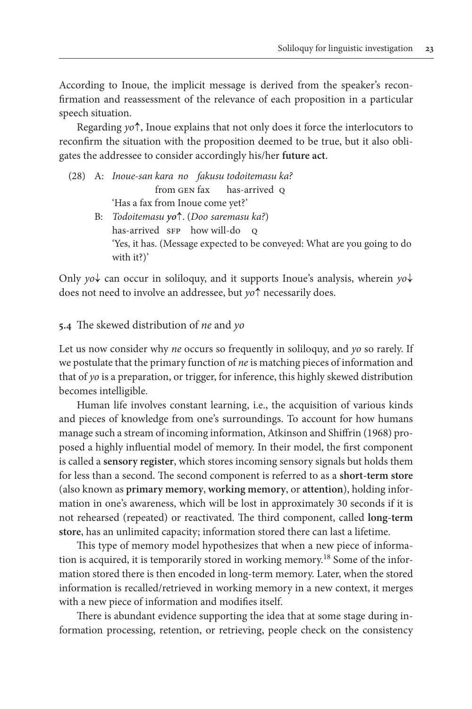According to Inoue, the implicit message is derived from the speaker's reconfirmation and reassessment of the relevance of each proposition in a particular speech situation.

Regarding *yo*↑, Inoue explains that not only does it force the interlocutors to reconfirm the situation with the proposition deemed to be true, but it also obligates the addressee to consider accordingly his/her **future act**.

(28) A: *Inoue-san kara no fakusu todoitemasu ka?* from GEN fax has-arrived Q 'Has a fax from Inoue come yet?' B: *Todoitemasu yo*↑. (*Doo saremasu ka?*) has-arrived SFP how will-do Q 'Yes, it has. (Message expected to be conveyed: What are you going to do with it?)'

Only *yo*↓ can occur in soliloquy, and it supports Inoue's analysis, wherein *yo*↓ does not need to involve an addressee, but *yo*↑ necessarily does.

**5.4** The skewed distribution of *ne* and *yo*

Let us now consider why *ne* occurs so frequently in soliloquy, and *yo* so rarely. If we postulate that the primary function of *ne* is matching pieces of information and that of *yo* is a preparation, or trigger, for inference, this highly skewed distribution becomes intelligible.

Human life involves constant learning, i.e., the acquisition of various kinds and pieces of knowledge from one's surroundings. To account for how humans manage such a stream of incoming information, Atkinson and Shiffrin (1968) proposed a highly influential model of memory. In their model, the first component is called a **sensory register**, which stores incoming sensory signals but holds them for less than a second. The second component is referred to as a **short-term store** (also known as **primary memory**, **working memory**, or **attention**), holding information in one's awareness, which will be lost in approximately 30 seconds if it is not rehearsed (repeated) or reactivated. The third component, called **long-term store**, has an unlimited capacity; information stored there can last a lifetime.

This type of memory model hypothesizes that when a new piece of information is acquired, it is temporarily stored in working memory.<sup>18</sup> Some of the information stored there is then encoded in long-term memory. Later, when the stored information is recalled/retrieved in working memory in a new context, it merges with a new piece of information and modifies itself.

There is abundant evidence supporting the idea that at some stage during information processing, retention, or retrieving, people check on the consistency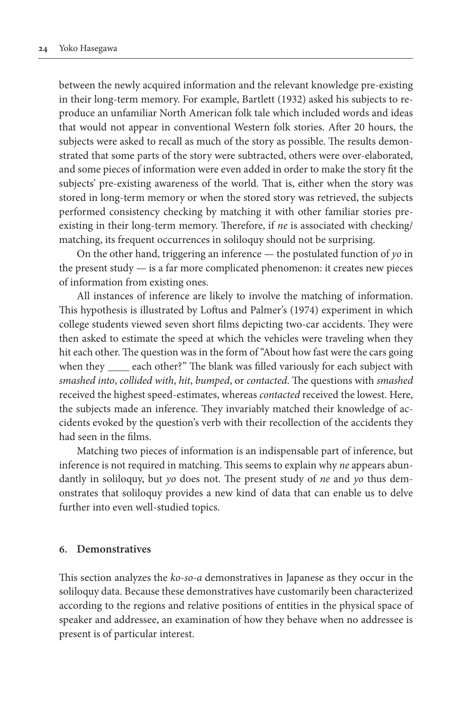between the newly acquired information and the relevant knowledge pre-existing in their long-term memory. For example, Bartlett (1932) asked his subjects to reproduce an unfamiliar North American folk tale which included words and ideas that would not appear in conventional Western folk stories. After 20 hours, the subjects were asked to recall as much of the story as possible. The results demonstrated that some parts of the story were subtracted, others were over-elaborated, and some pieces of information were even added in order to make the story fit the subjects' pre-existing awareness of the world. That is, either when the story was stored in long-term memory or when the stored story was retrieved, the subjects performed consistency checking by matching it with other familiar stories preexisting in their long-term memory. Therefore, if *ne* is associated with checking/ matching, its frequent occurrences in soliloquy should not be surprising.

On the other hand, triggering an inference — the postulated function of *yo* in the present study — is a far more complicated phenomenon: it creates new pieces of information from existing ones.

All instances of inference are likely to involve the matching of information. This hypothesis is illustrated by Loftus and Palmer's (1974) experiment in which college students viewed seven short films depicting two-car accidents. They were then asked to estimate the speed at which the vehicles were traveling when they hit each other. The question was in the form of "About how fast were the cars going when they \_\_\_\_\_ each other?" The blank was filled variously for each subject with *smashed into*, *collided with*, *hit*, *bumped*, or *contacted*. The questions with *smashed* received the highest speed-estimates, whereas *contacted* received the lowest. Here, the subjects made an inference. They invariably matched their knowledge of accidents evoked by the question's verb with their recollection of the accidents they had seen in the films.

Matching two pieces of information is an indispensable part of inference, but inference is not required in matching. This seems to explain why *ne* appears abundantly in soliloquy, but *yo* does not. The present study of *ne* and *yo* thus demonstrates that soliloquy provides a new kind of data that can enable us to delve further into even well-studied topics.

## **6. Demonstratives**

This section analyzes the *ko-so-a* demonstratives in Japanese as they occur in the soliloquy data. Because these demonstratives have customarily been characterized according to the regions and relative positions of entities in the physical space of speaker and addressee, an examination of how they behave when no addressee is present is of particular interest.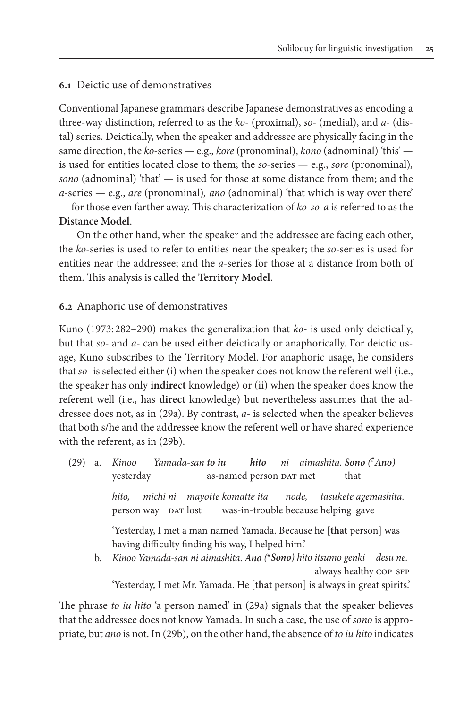# **6.1** Deictic use of demonstratives

Conventional Japanese grammars describe Japanese demonstratives as encoding a three-way distinction, referred to as the *ko-* (proximal), *so-* (medial), and *a-* (distal) series. Deictically, when the speaker and addressee are physically facing in the same direction, the *ko-*series — e.g., *kore* (pronominal), *kono* (adnominal) 'this' is used for entities located close to them; the *so-*series — e.g., *sore* (pronominal)*, sono* (adnominal) 'that' — is used for those at some distance from them; and the *a-*series — e.g., *are* (pronominal)*, ano* (adnominal) 'that which is way over there' — for those even farther away. This characterization of *ko*-*so*-*a* is referred to as the **Distance Model**.

On the other hand, when the speaker and the addressee are facing each other, the *ko-*series is used to refer to entities near the speaker; the *so-*series is used for entities near the addressee; and the *a-*series for those at a distance from both of them. This analysis is called the **Territory Model**.

## **6.2** Anaphoric use of demonstratives

Kuno (1973: 282–290) makes the generalization that *ko-* is used only deictically, but that *so-* and *a-* can be used either deictically or anaphorically. For deictic usage, Kuno subscribes to the Territory Model. For anaphoric usage, he considers that *so-* is selected either (i) when the speaker does not know the referent well (i.e., the speaker has only **indirect** knowledge) or (ii) when the speaker does know the referent well (i.e., has **direct** knowledge) but nevertheless assumes that the addressee does not, as in (29a). By contrast, *a-* is selected when the speaker believes that both s/he and the addressee know the referent well or have shared experience with the referent, as in (29b).

(29) a. *Kinoo Yamada-san to iu hito ni aimashita. Sono (*#*Ano)* yesterday as-named person DAT met that *hito, michi ni mayotte komatte ita node, tasukete agemashita.* person way DAT lost was-in-trouble because helping gave 'Yesterday, I met a man named Yamada. Because he [**that** person] was having difficulty finding his way, I helped him.' b. *Kinoo Yamada-san ni aimashita*. *Ano (* # *Sono) hito itsumo genki desu ne.* always healthy COP SFP

'Yesterday, I met Mr. Yamada. He [**that** person] is always in great spirits.'

The phrase *to iu hito* 'a person named' in (29a) signals that the speaker believes that the addressee does not know Yamada. In such a case, the use of *sono* is appropriate, but *ano* is not. In (29b), on the other hand, the absence of *to iu hito* indicates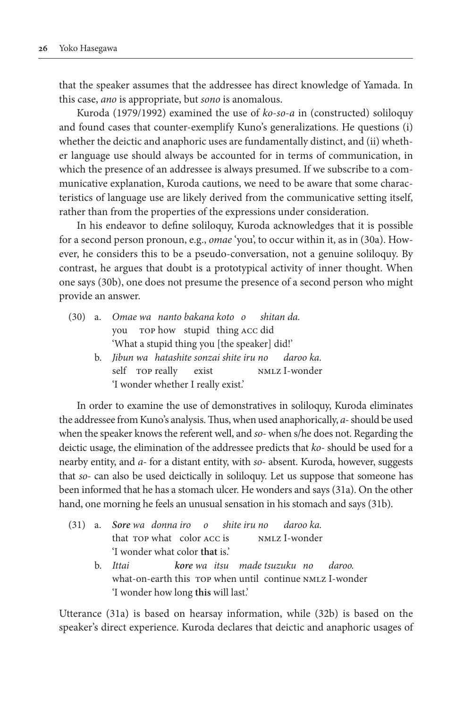that the speaker assumes that the addressee has direct knowledge of Yamada. In this case, *ano* is appropriate, but *sono* is anomalous.

Kuroda (1979/1992) examined the use of *ko*-*so*-*a* in (constructed) soliloquy and found cases that counter-exemplify Kuno's generalizations. He questions (i) whether the deictic and anaphoric uses are fundamentally distinct, and (ii) whether language use should always be accounted for in terms of communication, in which the presence of an addressee is always presumed. If we subscribe to a communicative explanation, Kuroda cautions, we need to be aware that some characteristics of language use are likely derived from the communicative setting itself, rather than from the properties of the expressions under consideration.

In his endeavor to define soliloquy, Kuroda acknowledges that it is possible for a second person pronoun, e.g., *omae* 'you', to occur within it, as in (30a). However, he considers this to be a pseudo-conversation, not a genuine soliloquy. By contrast, he argues that doubt is a prototypical activity of inner thought. When one says (30b), one does not presume the presence of a second person who might provide an answer.

|  | (30) a. Omae wa nanto bakana koto o shitan da.      |
|--|-----------------------------------------------------|
|  | you rop how stupid thing ACC did                    |
|  | 'What a stupid thing you [the speaker] did!'        |
|  | b. Jibun wa hatashite sonzai shite iru no daroo ka. |
|  | NMLZ I-wonder<br>self rop really exist              |

'I wonder whether I really exist.'

In order to examine the use of demonstratives in soliloquy, Kuroda eliminates the addressee from Kuno's analysis. Thus, when used anaphorically, *a-* should be used when the speaker knows the referent well, and *so-* when s/he does not. Regarding the deictic usage, the elimination of the addressee predicts that *ko-* should be used for a nearby entity, and *a-* for a distant entity, with *so-* absent. Kuroda, however, suggests that *so-* can also be used deictically in soliloquy. Let us suppose that someone has been informed that he has a stomach ulcer. He wonders and says (31a). On the other hand, one morning he feels an unusual sensation in his stomach and says (31b).

|  | (31) a. Sore wa donna iro o shite iru no daroo ka.                |
|--|-------------------------------------------------------------------|
|  | that rop what color ACC is NMLZ I-wonder                          |
|  | I wonder what color that is.                                      |
|  | b. Ittai               kore wa itsu   made tsuzuku  no     daroo. |
|  | what-on-earth this rop when until continue NMLZ I-wonder          |
|  | 'I wonder how long this will last.'                               |

Utterance (31a) is based on hearsay information, while (32b) is based on the speaker's direct experience. Kuroda declares that deictic and anaphoric usages of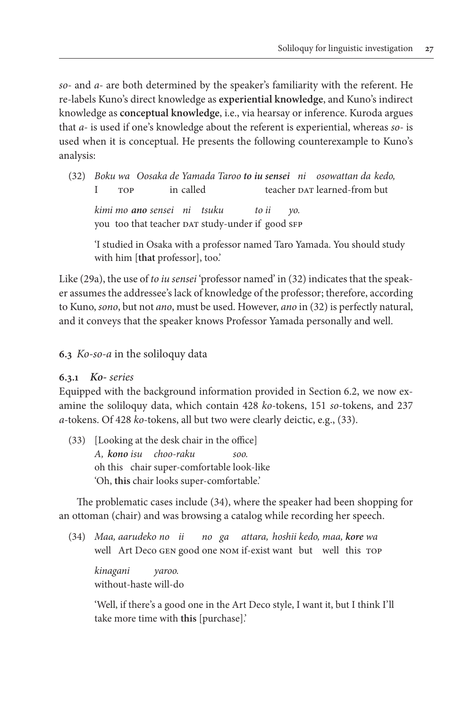*so-* and *a-* are both determined by the speaker's familiarity with the referent. He re-labels Kuno's direct knowledge as **experiential knowledge**, and Kuno's indirect knowledge as **conceptual knowledge**, i.e., via hearsay or inference. Kuroda argues that *a-* is used if one's knowledge about the referent is experiential, whereas *so-* is used when it is conceptual. He presents the following counterexample to Kuno's analysis:

(32) *Boku wa Oosaka de Yamada Taroo to iu sensei ni osowattan da kedo,* I TOP in called teacher DAT learned-from but

 *kimi mo ano sensei ni tsuku to ii yo.* you too that teacher DAT study-under if good SFP

 'I studied in Osaka with a professor named Taro Yamada. You should study with him [**that** professor], too.'

Like (29a), the use of *to iu sensei* 'professor named' in (32) indicates that the speaker assumes the addressee's lack of knowledge of the professor; therefore, according to Kuno, *sono*, but not *ano*, must be used. However, *ano* in (32) is perfectly natural, and it conveys that the speaker knows Professor Yamada personally and well.

**6.3** *Ko-so-a* in the soliloquy data

# **6.3.1** *Ko- series*

Equipped with the background information provided in Section 6.2, we now examine the soliloquy data, which contain 428 *ko-*tokens, 151 *so-*tokens, and 237 *a-*tokens. Of 428 *ko-*tokens, all but two were clearly deictic, e.g., (33).

(33) [Looking at the desk chair in the office] *A, kono isu choo-raku soo.* oh this chair super-comfortable look-like 'Oh, **this** chair looks super-comfortable.'

The problematic cases include (34), where the speaker had been shopping for an ottoman (chair) and was browsing a catalog while recording her speech.

(34) *Maa, aarudeko no ii no ga attara, hoshii kedo, maa, kore wa* well Art Deco GEN good one NOM if-exist want but well this TOP

 *kinagani yaroo.* without-haste will-do

 'Well, if there's a good one in the Art Deco style, I want it, but I think I'll take more time with **this** [purchase].'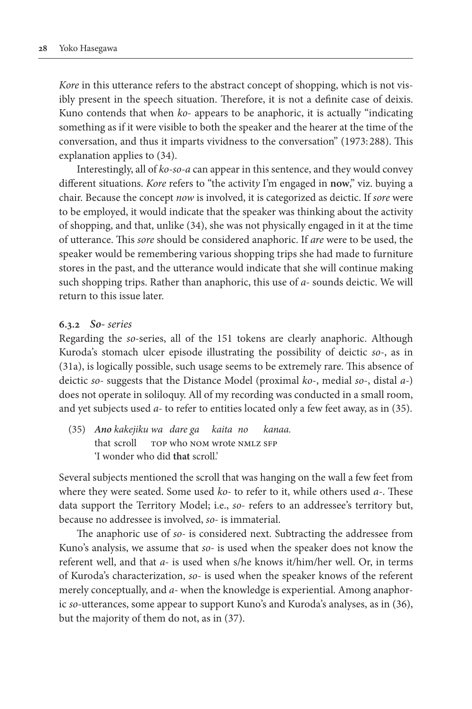*Kore* in this utterance refers to the abstract concept of shopping, which is not visibly present in the speech situation. Therefore, it is not a definite case of deixis. Kuno contends that when *ko-* appears to be anaphoric, it is actually "indicating something as if it were visible to both the speaker and the hearer at the time of the conversation, and thus it imparts vividness to the conversation" (1973: 288). This explanation applies to (34).

Interestingly, all of *ko-so-a* can appear in this sentence, and they would convey different situations. *Kore* refers to "the activit*y* I'm engaged in **now**," viz. buying a chair. Because the concept *now* is involved, it is categorized as deictic. If *sore* were to be employed, it would indicate that the speaker was thinking about the activity of shopping, and that, unlike (34), she was not physically engaged in it at the time of utterance. This *sore* should be considered anaphoric. If *are* were to be used, the speaker would be remembering various shopping trips she had made to furniture stores in the past, and the utterance would indicate that she will continue making such shopping trips. Rather than anaphoric, this use of *a-* sounds deictic. We will return to this issue later.

## **6.3.2** *So- series*

Regarding the *so-*series, all of the 151 tokens are clearly anaphoric. Although Kuroda's stomach ulcer episode illustrating the possibility of deictic *so-*, as in (31a), is logically possible, such usage seems to be extremely rare. This absence of deictic *so-* suggests that the Distance Model (proximal *ko*-, medial *so*-, distal *a-*) does not operate in soliloquy. All of my recording was conducted in a small room, and yet subjects used *a-* to refer to entities located only a few feet away, as in (35).

(35) *Ano kakejiku wa dare ga kaita no kanaa.* that scroll top who nom wrote nmLz SFP 'I wonder who did **that** scroll.'

Several subjects mentioned the scroll that was hanging on the wall a few feet from where they were seated. Some used *ko-* to refer to it, while others used *a-*. These data support the Territory Model; i.e., *so-* refers to an addressee's territory but, because no addressee is involved, *so-* is immaterial.

The anaphoric use of *so-* is considered next. Subtracting the addressee from Kuno's analysis, we assume that *so-* is used when the speaker does not know the referent well, and that *a-* is used when s/he knows it/him/her well. Or, in terms of Kuroda's characterization, *so-* is used when the speaker knows of the referent merely conceptually, and *a-* when the knowledge is experiential. Among anaphoric *so-*utterances, some appear to support Kuno's and Kuroda's analyses, as in (36), but the majority of them do not, as in (37).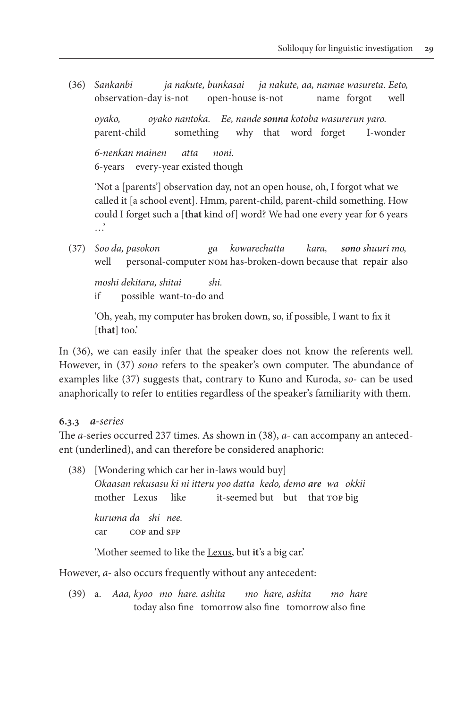(36) *Sankanbi ja nakute, bunkasai ja nakute, aa, namae wasureta. Eeto,* observation-day is-not open-house is-not name forgot well *oyako, oyako nantoka. Ee, nande sonna kotoba wasurerun yaro.* parent-child something why that word forget I-wonder *6-nenkan mainen atta noni.* 6-years every-year existed though

 'Not a [parents'] observation day, not an open house, oh, I forgot what we called it [a school event]. Hmm, parent-child, parent-child something. How could I forget such a [**that** kind of] word? We had one every year for 6 years …'

(37) *Soo da, pasokon ga kowarechatta kara, sono shuuri mo,* well personal-computer nom has-broken-down because that repair also

 *moshi dekitara, shitai shi.* if possible want-to-do and

 'Oh, yeah, my computer has broken down, so, if possible, I want to fix it [**that**] too.'

In (36), we can easily infer that the speaker does not know the referents well. However, in (37) *sono* refers to the speaker's own computer. The abundance of examples like (37) suggests that, contrary to Kuno and Kuroda, *so-* can be used anaphorically to refer to entities regardless of the speaker's familiarity with them.

# **6.3.3** *a-series*

The *a-*series occurred 237 times. As shown in (38), *a-* can accompany an antecedent (underlined), and can therefore be considered anaphoric:

(38) [Wondering which car her in-laws would buy] *Okaasan rekusasu ki ni itteru yoo datta kedo, demo are wa okkii* mother Lexus like it-seemed but but that top big *kuruma da shi nee.* car cop and sFP 'Mother seemed to like the Lexus, but **it**'s a big car.'

However, *a-* also occurs frequently without any antecedent:

(39) a. *Aaa, kyoo mo hare. ashita mo hare, ashita mo hare* today also fine tomorrow also fine tomorrow also fine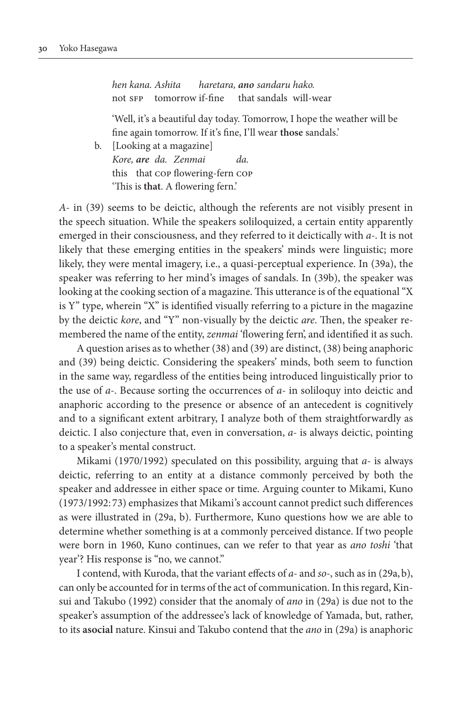*hen kana. Ashita haretara, ano sandaru hako.* not sFP tomorrow if-fine that sandals will-wear

 'Well, it's a beautiful day today. Tomorrow, I hope the weather will be fine again tomorrow. If it's fine, I'll wear **those** sandals.'

 b. [Looking at a magazine] *Kore, are da. Zenmai da.* this that cop flowering-fern cop 'This is **that**. A flowering fern.'

*A-* in (39) seems to be deictic, although the referents are not visibly present in the speech situation. While the speakers soliloquized, a certain entity apparently emerged in their consciousness, and they referred to it deictically with *a-*. It is not likely that these emerging entities in the speakers' minds were linguistic; more likely, they were mental imagery, i.e., a quasi-perceptual experience. In (39a), the speaker was referring to her mind's images of sandals. In (39b), the speaker was looking at the cooking section of a magazine. This utterance is of the equational "X is Y" type, wherein "X" is identified visually referring to a picture in the magazine by the deictic *kore*, and "Y" non-visually by the deictic *are*. Then, the speaker remembered the name of the entity, *zenmai* 'flowering fern', and identified it as such.

A question arises as to whether (38) and (39) are distinct, (38) being anaphoric and (39) being deictic. Considering the speakers' minds, both seem to function in the same way, regardless of the entities being introduced linguistically prior to the use of *a-*. Because sorting the occurrences of *a-* in soliloquy into deictic and anaphoric according to the presence or absence of an antecedent is cognitively and to a significant extent arbitrary, I analyze both of them straightforwardly as deictic. I also conjecture that, even in conversation, *a-* is always deictic, pointing to a speaker's mental construct.

Mikami (1970/1992) speculated on this possibility, arguing that *a-* is always deictic, referring to an entity at a distance commonly perceived by both the speaker and addressee in either space or time. Arguing counter to Mikami, Kuno (1973/1992: 73) emphasizes that Mikami's account cannot predict such differences as were illustrated in (29a, b). Furthermore, Kuno questions how we are able to determine whether something is at a commonly perceived distance. If two people were born in 1960, Kuno continues, can we refer to that year as *ano toshi* 'that year'? His response is "no, we cannot."

I contend, with Kuroda, that the variant effects of *a-* and *so-*, such as in (29a,b), can only be accounted for in terms of the act of communication. In this regard, Kinsui and Takubo (1992) consider that the anomaly of *ano* in (29a) is due not to the speaker's assumption of the addressee's lack of knowledge of Yamada, but, rather, to its **asocial** nature. Kinsui and Takubo contend that the *ano* in (29a) is anaphoric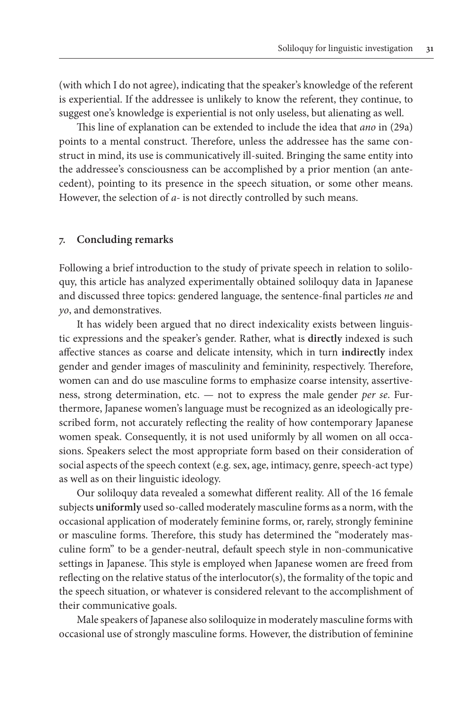(with which I do not agree), indicating that the speaker's knowledge of the referent is experiential. If the addressee is unlikely to know the referent, they continue, to suggest one's knowledge is experiential is not only useless, but alienating as well.

This line of explanation can be extended to include the idea that *ano* in (29a) points to a mental construct. Therefore, unless the addressee has the same construct in mind, its use is communicatively ill-suited. Bringing the same entity into the addressee's consciousness can be accomplished by a prior mention (an antecedent), pointing to its presence in the speech situation, or some other means. However, the selection of *a-* is not directly controlled by such means.

## **7. Concluding remarks**

Following a brief introduction to the study of private speech in relation to soliloquy, this article has analyzed experimentally obtained soliloquy data in Japanese and discussed three topics: gendered language, the sentence-final particles *ne* and *yo*, and demonstratives.

It has widely been argued that no direct indexicality exists between linguistic expressions and the speaker's gender. Rather, what is **directly** indexed is such affective stances as coarse and delicate intensity, which in turn **indirectly** index gender and gender images of masculinity and femininity, respectively. Therefore, women can and do use masculine forms to emphasize coarse intensity, assertiveness, strong determination, etc. — not to express the male gender *per se*. Furthermore, Japanese women's language must be recognized as an ideologically prescribed form, not accurately reflecting the reality of how contemporary Japanese women speak. Consequently, it is not used uniformly by all women on all occasions. Speakers select the most appropriate form based on their consideration of social aspects of the speech context (e.g. sex, age, intimacy, genre, speech-act type) as well as on their linguistic ideology.

Our soliloquy data revealed a somewhat different reality. All of the 16 female subjects **uniformly** used so-called moderately masculine forms as a norm, with the occasional application of moderately feminine forms, or, rarely, strongly feminine or masculine forms. Therefore, this study has determined the "moderately masculine form" to be a gender-neutral, default speech style in non-communicative settings in Japanese. This style is employed when Japanese women are freed from reflecting on the relative status of the interlocutor(s), the formality of the topic and the speech situation, or whatever is considered relevant to the accomplishment of their communicative goals.

Male speakers of Japanese also soliloquize in moderately masculine forms with occasional use of strongly masculine forms. However, the distribution of feminine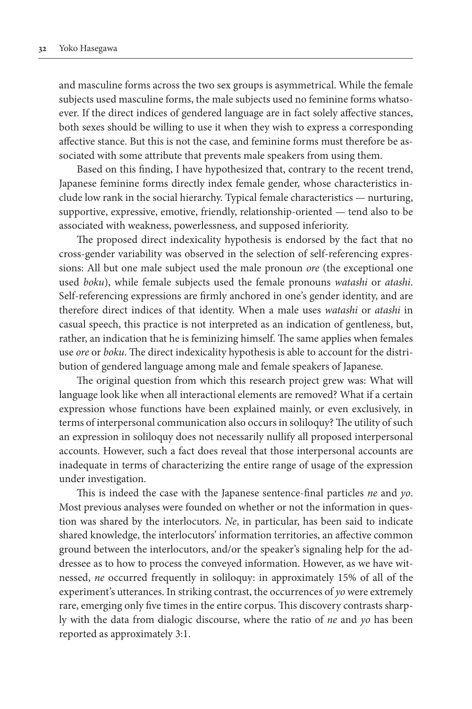and masculine forms across the two sex groups is asymmetrical. While the female subjects used masculine forms, the male subjects used no feminine forms whatsoever. If the direct indices of gendered language are in fact solely affective stances, both sexes should be willing to use it when they wish to express a corresponding affective stance. But this is not the case, and feminine forms must therefore be associated with some attribute that prevents male speakers from using them.

Based on this finding, I have hypothesized that, contrary to the recent trend, Japanese feminine forms directly index female gender, whose characteristics include low rank in the social hierarchy. Typical female characteristics — nurturing, supportive, expressive, emotive, friendly, relationship-oriented — tend also to be associated with weakness, powerlessness, and supposed inferiority.

The proposed direct indexicality hypothesis is endorsed by the fact that no cross-gender variability was observed in the selection of self-referencing expressions: All but one male subject used the male pronoun *ore* (the exceptional one used *boku*), while female subjects used the female pronouns *watashi* or *atashi*. Self-referencing expressions are firmly anchored in one's gender identity, and are therefore direct indices of that identity. When a male uses *watashi* or *atashi* in casual speech, this practice is not interpreted as an indication of gentleness, but, rather, an indication that he is feminizing himself. The same applies when females use *ore* or *boku*. The direct indexicality hypothesis is able to account for the distribution of gendered language among male and female speakers of Japanese.

The original question from which this research project grew was: What will language look like when all interactional elements are removed? What if a certain expression whose functions have been explained mainly, or even exclusively, in terms of interpersonal communication also occurs in soliloquy? The utility of such an expression in soliloquy does not necessarily nullify all proposed interpersonal accounts. However, such a fact does reveal that those interpersonal accounts are inadequate in terms of characterizing the entire range of usage of the expression under investigation.

This is indeed the case with the Japanese sentence-final particles *ne* and *yo*. Most previous analyses were founded on whether or not the information in question was shared by the interlocutors. *Ne*, in particular, has been said to indicate shared knowledge, the interlocutors' information territories, an affective common ground between the interlocutors, and/or the speaker's signaling help for the addressee as to how to process the conveyed information. However, as we have witnessed, *ne* occurred frequently in soliloquy: in approximately 15% of all of the experiment's utterances. In striking contrast, the occurrences of *yo* were extremely rare, emerging only five times in the entire corpus. This discovery contrasts sharply with the data from dialogic discourse, where the ratio of *ne* and *yo* has been reported as approximately 3:1.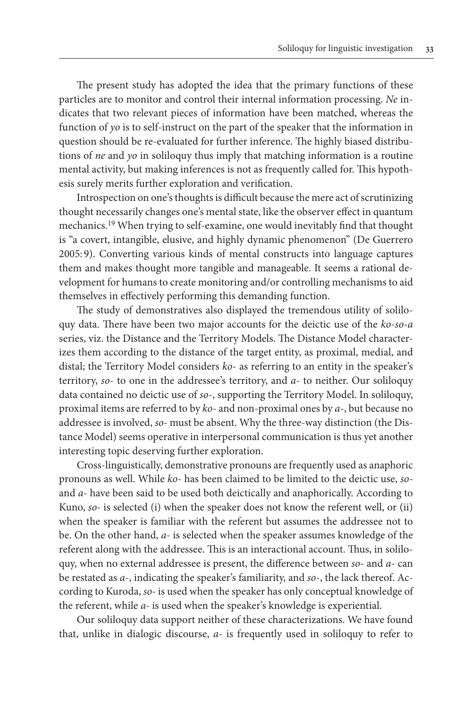The present study has adopted the idea that the primary functions of these particles are to monitor and control their internal information processing. *Ne* indicates that two relevant pieces of information have been matched, whereas the function of *yo* is to self-instruct on the part of the speaker that the information in question should be re-evaluated for further inference. The highly biased distributions of *ne* and *yo* in soliloquy thus imply that matching information is a routine mental activity, but making inferences is not as frequently called for. This hypothesis surely merits further exploration and verification.

Introspection on one's thoughts is difficult because the mere act of scrutinizing thought necessarily changes one's mental state, like the observer effect in quantum mechanics.19 When trying to self-examine, one would inevitably find that thought is "a covert, intangible, elusive, and highly dynamic phenomenon" (De Guerrero 2005: 9). Converting various kinds of mental constructs into language captures them and makes thought more tangible and manageable. It seems a rational development for humans to create monitoring and/or controlling mechanisms to aid themselves in effectively performing this demanding function.

The study of demonstratives also displayed the tremendous utility of soliloquy data. There have been two major accounts for the deictic use of the *ko*-*so*-*a* series, viz. the Distance and the Territory Models. The Distance Model characterizes them according to the distance of the target entity, as proximal, medial, and distal; the Territory Model considers *ko*- as referring to an entity in the speaker's territory, *so*- to one in the addressee's territory, and *a*- to neither. Our soliloquy data contained no deictic use of *so*-, supporting the Territory Model. In soliloquy, proximal items are referred to by *ko*- and non-proximal ones by *a*-, but because no addressee is involved, *so-* must be absent. Why the three-way distinction (the Distance Model) seems operative in interpersonal communication is thus yet another interesting topic deserving further exploration.

Cross-linguistically, demonstrative pronouns are frequently used as anaphoric pronouns as well. While *ko*- has been claimed to be limited to the deictic use, *so*and *a*- have been said to be used both deictically and anaphorically. According to Kuno, *so-* is selected (i) when the speaker does not know the referent well, or (ii) when the speaker is familiar with the referent but assumes the addressee not to be. On the other hand, *a-* is selected when the speaker assumes knowledge of the referent along with the addressee. This is an interactional account. Thus, in soliloquy, when no external addressee is present, the difference between *so*- and *a*- can be restated as *a*-, indicating the speaker's familiarity, and *so*-, the lack thereof. According to Kuroda, *so-* is used when the speaker has only conceptual knowledge of the referent, while *a-* is used when the speaker's knowledge is experiential.

Our soliloquy data support neither of these characterizations. We have found that, unlike in dialogic discourse, *a-* is frequently used in soliloquy to refer to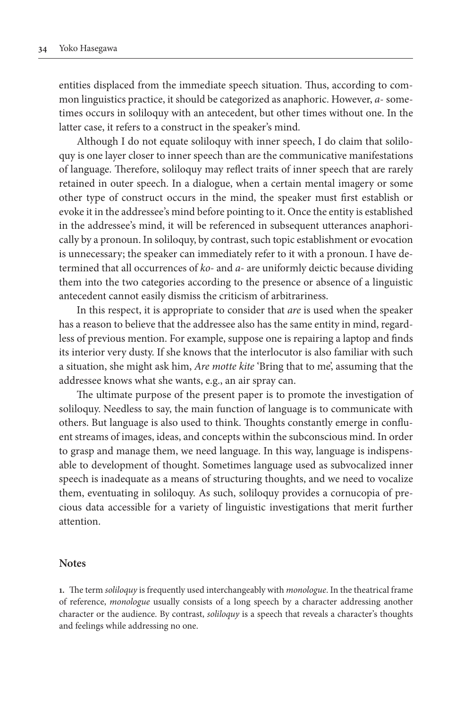entities displaced from the immediate speech situation. Thus, according to common linguistics practice, it should be categorized as anaphoric. However, *a*- sometimes occurs in soliloquy with an antecedent, but other times without one. In the latter case, it refers to a construct in the speaker's mind.

Although I do not equate soliloquy with inner speech, I do claim that soliloquy is one layer closer to inner speech than are the communicative manifestations of language. Therefore, soliloquy may reflect traits of inner speech that are rarely retained in outer speech. In a dialogue, when a certain mental imagery or some other type of construct occurs in the mind, the speaker must first establish or evoke it in the addressee's mind before pointing to it. Once the entity is established in the addressee's mind, it will be referenced in subsequent utterances anaphorically by a pronoun. In soliloquy, by contrast, such topic establishment or evocation is unnecessary; the speaker can immediately refer to it with a pronoun. I have determined that all occurrences of *ko-* and *a-* are uniformly deictic because dividing them into the two categories according to the presence or absence of a linguistic antecedent cannot easily dismiss the criticism of arbitrariness.

In this respect, it is appropriate to consider that *are* is used when the speaker has a reason to believe that the addressee also has the same entity in mind, regardless of previous mention. For example, suppose one is repairing a laptop and finds its interior very dusty. If she knows that the interlocutor is also familiar with such a situation, she might ask him, *Are motte kite* 'Bring that to me', assuming that the addressee knows what she wants, e.g., an air spray can.

The ultimate purpose of the present paper is to promote the investigation of soliloquy. Needless to say, the main function of language is to communicate with others. But language is also used to think. Thoughts constantly emerge in confluent streams of images, ideas, and concepts within the subconscious mind. In order to grasp and manage them, we need language. In this way, language is indispensable to development of thought. Sometimes language used as subvocalized inner speech is inadequate as a means of structuring thoughts, and we need to vocalize them, eventuating in soliloquy. As such, soliloquy provides a cornucopia of precious data accessible for a variety of linguistic investigations that merit further attention.

#### **Notes**

**1.** The term *soliloquy* is frequently used interchangeably with *monologue*. In the theatrical frame of reference, *monologue* usually consists of a long speech by a character addressing another character or the audience. By contrast, *soliloquy* is a speech that reveals a character's thoughts and feelings while addressing no one.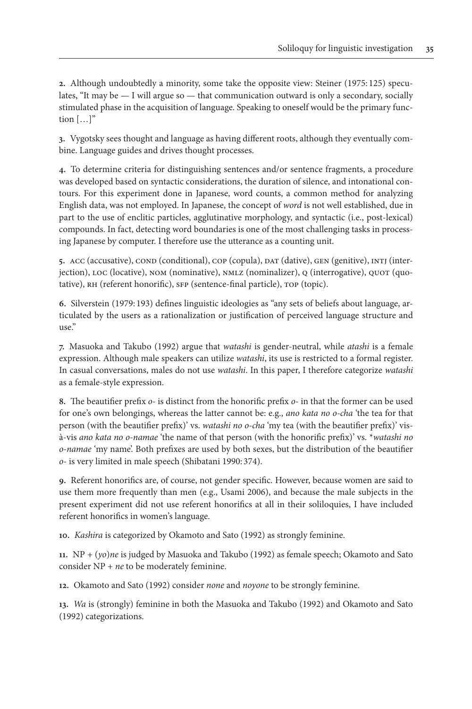**2.** Although undoubtedly a minority, some take the opposite view: Steiner (1975: 125) speculates, "It may be  $-$  I will argue so  $-$  that communication outward is only a secondary, socially stimulated phase in the acquisition of language. Speaking to oneself would be the primary function  $[...]$ "

**3.** Vygotsky sees thought and language as having different roots, although they eventually combine. Language guides and drives thought processes.

**4.** To determine criteria for distinguishing sentences and/or sentence fragments, a procedure was developed based on syntactic considerations, the duration of silence, and intonational contours. For this experiment done in Japanese, word counts, a common method for analyzing English data, was not employed. In Japanese, the concept of *word* is not well established, due in part to the use of enclitic particles, agglutinative morphology, and syntactic (i.e., post-lexical) compounds. In fact, detecting word boundaries is one of the most challenging tasks in processing Japanese by computer. I therefore use the utterance as a counting unit.

**5.** acc (accusative), cond (conditional), cop (copula), dat (dative), gen (genitive), intj (interjection), loc (locative), nom (nominative), nmlz (nominalizer), q (interrogative), quot (quotative), RH (referent honorific), SFP (sentence-final particle), TOP (topic).

**6.** Silverstein (1979: 193) defines linguistic ideologies as "any sets of beliefs about language, articulated by the users as a rationalization or justification of perceived language structure and  $use''$ 

**7.** Masuoka and Takubo (1992) argue that *watashi* is gender-neutral, while *atashi* is a female expression. Although male speakers can utilize *watashi*, its use is restricted to a formal register. In casual conversations, males do not use *watashi*. In this paper, I therefore categorize *watashi* as a female-style expression.

**8.** The beautifier prefix *o-* is distinct from the honorific prefix *o-* in that the former can be used for one's own belongings, whereas the latter cannot be: e.g., *ano kata no o-cha* 'the tea for that person (with the beautifier prefix)' vs. *watashi no o-cha* 'my tea (with the beautifier prefix)' visà-vis *ano kata no o-namae* 'the name of that person (with the honorific prefix)' vs. \**watashi no o-namae* 'my name'. Both prefixes are used by both sexes, but the distribution of the beautifier *o*- is very limited in male speech (Shibatani 1990: 374).

**9.** Referent honorifics are, of course, not gender specific. However, because women are said to use them more frequently than men (e.g., Usami 2006), and because the male subjects in the present experiment did not use referent honorifics at all in their soliloquies, I have included referent honorifics in women's language.

**10.** *Kashira* is categorized by Okamoto and Sato (1992) as strongly feminine.

**11.** NP *+* (*yo*)*ne* is judged by Masuoka and Takubo (1992) as female speech; Okamoto and Sato consider NP + *ne* to be moderately feminine.

**12.** Okamoto and Sato (1992) consider *none* and *noyone* to be strongly feminine.

**13.** *Wa* is (strongly) feminine in both the Masuoka and Takubo (1992) and Okamoto and Sato (1992) categorizations.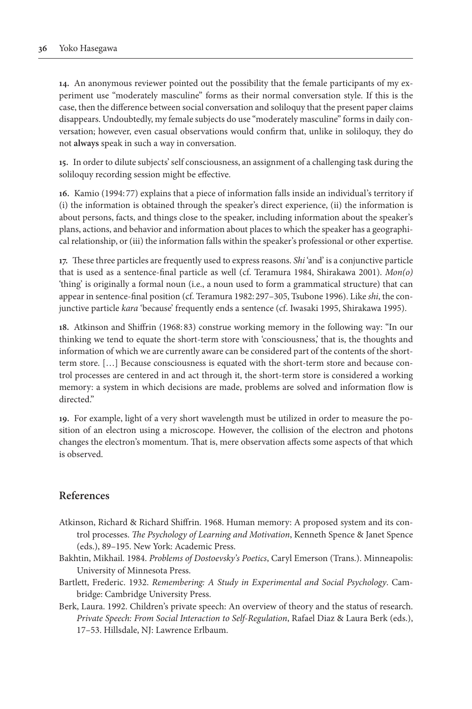**14.** An anonymous reviewer pointed out the possibility that the female participants of my experiment use "moderately masculine" forms as their normal conversation style. If this is the case, then the difference between social conversation and soliloquy that the present paper claims disappears. Undoubtedly, my female subjects do use "moderately masculine" forms in daily conversation; however, even casual observations would confirm that, unlike in soliloquy, they do not **always** speak in such a way in conversation.

**15.** In order to dilute subjects' self consciousness, an assignment of a challenging task during the soliloquy recording session might be effective.

**16.** Kamio (1994: 77) explains that a piece of information falls inside an individual's territory if (i) the information is obtained through the speaker's direct experience, (ii) the information is about persons, facts, and things close to the speaker, including information about the speaker's plans, actions, and behavior and information about places to which the speaker has a geographical relationship, or (iii) the information falls within the speaker's professional or other expertise.

**17.** These three particles are frequently used to express reasons. *Shi* 'and' is a conjunctive particle that is used as a sentence-final particle as well (cf. Teramura 1984, Shirakawa 2001). *Mon(o)* 'thing' is originally a formal noun (i.e., a noun used to form a grammatical structure) that can appear in sentence-final position (cf. Teramura 1982: 297–305, Tsubone 1996). Like *shi*, the conjunctive particle *kara* 'because' frequently ends a sentence (cf. Iwasaki 1995, Shirakawa 1995).

**18.** Atkinson and Shiffrin (1968: 83) construe working memory in the following way: "In our thinking we tend to equate the short-term store with 'consciousness,' that is, the thoughts and information of which we are currently aware can be considered part of the contents of the shortterm store. […] Because consciousness is equated with the short-term store and because control processes are centered in and act through it, the short-term store is considered a working memory: a system in which decisions are made, problems are solved and information flow is directed."

**19.** For example, light of a very short wavelength must be utilized in order to measure the position of an electron using a microscope. However, the collision of the electron and photons changes the electron's momentum. That is, mere observation affects some aspects of that which is observed.

# **References**

- Atkinson, Richard & Richard Shiffrin. 1968. Human memory: A proposed system and its control processes. *The Psychology of Learning and Motivation*, Kenneth Spence & Janet Spence (eds.), 89–195. New York: Academic Press.
- Bakhtin, Mikhail. 1984. *Problems of Dostoevsky's Poetics*, Caryl Emerson (Trans.). Minneapolis: University of Minnesota Press.
- Bartlett, Frederic. 1932. *Remembering: A Study in Experimental and Social Psychology*. Cambridge: Cambridge University Press.
- Berk, Laura. 1992. Children's private speech: An overview of theory and the status of research. *Private Speech: From Social Interaction to Self-Regulation*, Rafael Diaz & Laura Berk (eds.), 17–53. Hillsdale, NJ: Lawrence Erlbaum.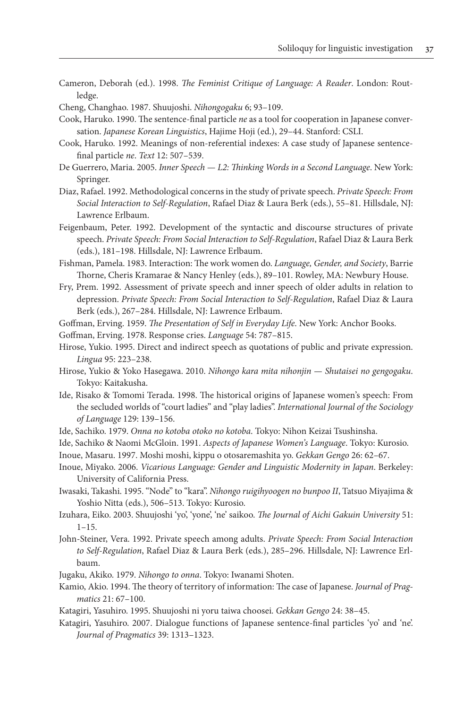- Cameron, Deborah (ed.). 1998. *The Feminist Critique of Language: A Reader*. London: Routledge.
- Cheng, Changhao. 1987. Shuujoshi. *Nihongogaku* 6; 93–109.
- Cook, Haruko. 1990. The sentence-final particle *ne* as a tool for cooperation in Japanese conversation. *Japanese Korean Linguistics*, Hajime Hoji (ed.), 29–44. Stanford: CSLI.
- Cook, Haruko. 1992. Meanings of non-referential indexes: A case study of Japanese sentencefinal particle *ne*. *Text* 12: 507–539.
- De Guerrero, Maria. 2005. *Inner Speech L2: Thinking Words in a Second Language*. New York: Springer.
- Diaz, Rafael. 1992. Methodological concerns in the study of private speech. *Private Speech: From Social Interaction to Self-Regulation*, Rafael Diaz & Laura Berk (eds.), 55–81. Hillsdale, NJ: Lawrence Erlbaum.
- Feigenbaum, Peter. 1992. Development of the syntactic and discourse structures of private speech. *Private Speech: From Social Interaction to Self-Regulation*, Rafael Diaz & Laura Berk (eds.), 181–198. Hillsdale, NJ: Lawrence Erlbaum.
- Fishman, Pamela. 1983. Interaction: The work women do. *Language, Gender, and Society*, Barrie Thorne, Cheris Kramarae & Nancy Henley (eds.), 89–101. Rowley, MA: Newbury House.
- Fry, Prem. 1992. Assessment of private speech and inner speech of older adults in relation to depression. *Private Speech: From Social Interaction to Self-Regulation*, Rafael Diaz & Laura Berk (eds.), 267–284. Hillsdale, NJ: Lawrence Erlbaum.
- Goffman, Erving. 1959. *The Presentation of Self in Everyday Life*. New York: Anchor Books.
- Goffman, Erving. 1978. Response cries. *Language* 54: 787–815.
- Hirose, Yukio. 1995. Direct and indirect speech as quotations of public and private expression. *Lingua* 95: 223–238.
- Hirose, Yukio & Yoko Hasegawa. 2010. *Nihongo kara mita nihonjin Shutaisei no gengogaku*. Tokyo: Kaitakusha.
- Ide, Risako & Tomomi Terada. 1998. The historical origins of Japanese women's speech: From the secluded worlds of "court ladies" and "play ladies". *International Journal of the Sociology of Language* 129: 139–156.
- Ide, Sachiko. 1979. *Onna no kotoba otoko no kotoba*. Tokyo: Nihon Keizai Tsushinsha.
- Ide, Sachiko & Naomi McGloin. 1991. *Aspects of Japanese Women's Language*. Tokyo: Kurosio.
- Inoue, Masaru. 1997. Moshi moshi, kippu o otosaremashita yo. *Gekkan Gengo* 26: 62–67.
- Inoue, Miyako. 2006. *Vicarious Language: Gender and Linguistic Modernity in Japan*. Berkeley: University of California Press.
- Iwasaki, Takashi. 1995. "Node" to "kara". *Nihongo ruigihyoogen no bunpoo II*, Tatsuo Miyajima & Yoshio Nitta (eds.), 506–513. Tokyo: Kurosio.
- Izuhara, Eiko. 2003. Shuujoshi 'yo', 'yone', 'ne' saikoo. *The Journal of Aichi Gakuin University* 51:  $1 - 15$ .
- John-Steiner, Vera. 1992. Private speech among adults. *Private Speech: From Social Interaction to Self-Regulation*, Rafael Diaz & Laura Berk (eds.), 285–296. Hillsdale, NJ: Lawrence Erlbaum.
- Jugaku, Akiko. 1979. *Nihongo to onna*. Tokyo: Iwanami Shoten.
- Kamio, Akio. 1994. The theory of territory of information: The case of Japanese. *Journal of Pragmatics* 21: 67–100.
- Katagiri, Yasuhiro. 1995. Shuujoshi ni yoru taiwa choosei. *Gekkan Gengo* 24: 38–45.
- Katagiri, Yasuhiro. 2007. Dialogue functions of Japanese sentence-final particles 'yo' and 'ne'. *Journal of Pragmatics* 39: 1313–1323.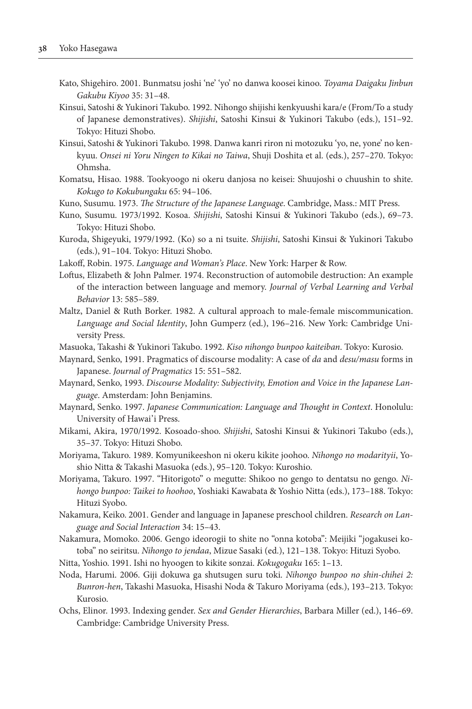- Kato, Shigehiro. 2001. Bunmatsu joshi 'ne' 'yo' no danwa koosei kinoo. *Toyama Daigaku Jinbun Gakubu Kiyoo* 35: 31–48.
- Kinsui, Satoshi & Yukinori Takubo. 1992. Nihongo shijishi kenkyuushi kara/e (From/To a study of Japanese demonstratives). *Shijishi*, Satoshi Kinsui & Yukinori Takubo (eds.), 151–92. Tokyo: Hituzi Shobo.
- Kinsui, Satoshi & Yukinori Takubo. 1998. Danwa kanri riron ni motozuku 'yo, ne, yone' no kenkyuu. *Onsei ni Yoru Ningen to Kikai no Taiwa*, Shuji Doshita et al. (eds.), 257–270. Tokyo: Ohmsha.
- Komatsu, Hisao. 1988. Tookyoogo ni okeru danjosa no keisei: Shuujoshi o chuushin to shite. *Kokugo to Kokubungaku* 65: 94–106.
- Kuno, Susumu. 1973. *The Structure of the Japanese Language*. Cambridge, Mass.: MIT Press.
- Kuno, Susumu. 1973/1992. Kosoa. *Shijishi*, Satoshi Kinsui & Yukinori Takubo (eds.), 69–73. Tokyo: Hituzi Shobo.
- Kuroda, Shigeyuki, 1979/1992. (Ko) so a ni tsuite. *Shijishi*, Satoshi Kinsui & Yukinori Takubo (eds.), 91–104. Tokyo: Hituzi Shobo.
- Lakoff, Robin. 1975. *Language and Woman's Place*. New York: Harper & Row.
- Loftus, Elizabeth & John Palmer. 1974. Reconstruction of automobile destruction: An example of the interaction between language and memory. *Journal of Verbal Learning and Verbal Behavior* 13: 585–589.
- Maltz, Daniel & Ruth Borker. 1982. A cultural approach to male-female miscommunication. *Language and Social Identity*, John Gumperz (ed.), 196–216. New York: Cambridge University Press.
- Masuoka, Takashi & Yukinori Takubo. 1992. *Kiso nihongo bunpoo kaiteiban*. Tokyo: Kurosio.
- Maynard, Senko, 1991. Pragmatics of discourse modality: A case of *da* and *desu/masu* forms in Japanese. *Journal of Pragmatics* 15: 551–582.
- Maynard, Senko, 1993. *Discourse Modality: Subjectivity, Emotion and Voice in the Japanese Language*. Amsterdam: John Benjamins.
- Maynard, Senko. 1997. *Japanese Communication: Language and Thought in Context*. Honolulu: University of Hawai'i Press.
- Mikami, Akira, 1970/1992. Kosoado-shoo. *Shijishi*, Satoshi Kinsui & Yukinori Takubo (eds.), 35–37. Tokyo: Hituzi Shobo.
- Moriyama, Takuro. 1989. Komyunikeeshon ni okeru kikite joohoo. *Nihongo no modarityii*, Yoshio Nitta & Takashi Masuoka (eds.), 95–120. Tokyo: Kuroshio.
- Moriyama, Takuro. 1997. "Hitorigoto" o megutte: Shikoo no gengo to dentatsu no gengo. *Nihongo bunpoo: Taikei to hoohoo*, Yoshiaki Kawabata & Yoshio Nitta (eds.), 173–188. Tokyo: Hituzi Syobo.
- Nakamura, Keiko. 2001. Gender and language in Japanese preschool children. *Research on Language and Social Interaction* 34: 15–43.
- Nakamura, Momoko. 2006. Gengo ideorogii to shite no "onna kotoba": Meijiki "jogakusei kotoba" no seiritsu. *Nihongo to jendaa*, Mizue Sasaki (ed.), 121–138. Tokyo: Hituzi Syobo.
- Nitta, Yoshio. 1991. Ishi no hyoogen to kikite sonzai. *Kokugogaku* 165: 1–13.
- Noda, Harumi. 2006. Giji dokuwa ga shutsugen suru toki. *Nihongo bunpoo no shin-chihei 2: Bunron-hen*, Takashi Masuoka, Hisashi Noda & Takuro Moriyama (eds.), 193–213. Tokyo: Kurosio.
- Ochs, Elinor. 1993. Indexing gender. *Sex and Gender Hierarchies*, Barbara Miller (ed.), 146–69. Cambridge: Cambridge University Press.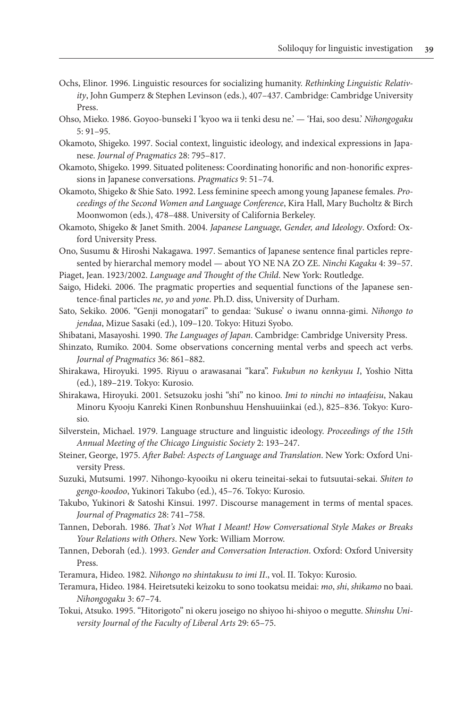- Ochs, Elinor. 1996. Linguistic resources for socializing humanity. *Rethinking Linguistic Relativity*, John Gumperz & Stephen Levinson (eds.), 407–437. Cambridge: Cambridge University Press.
- Ohso, Mieko. 1986. Goyoo-bunseki I 'kyoo wa ii tenki desu ne.' 'Hai, soo desu.' *Nihongogaku* 5: 91–95.
- Okamoto, Shigeko. 1997. Social context, linguistic ideology, and indexical expressions in Japanese. *Journal of Pragmatics* 28: 795–817.
- Okamoto, Shigeko. 1999. Situated politeness: Coordinating honorific and non-honorific expressions in Japanese conversations. *Pragmatics* 9: 51–74.
- Okamoto, Shigeko & Shie Sato. 1992. Less feminine speech among young Japanese females. *Proceedings of the Second Women and Language Conference*, Kira Hall, Mary Bucholtz & Birch Moonwomon (eds.), 478–488. University of California Berkeley.
- Okamoto, Shigeko & Janet Smith. 2004. *Japanese Language, Gender, and Ideology*. Oxford: Oxford University Press.
- Ono, Susumu & Hiroshi Nakagawa. 1997. Semantics of Japanese sentence final particles represented by hierarchal memory model — about YO NE NA ZO ZE. *Ninchi Kagaku* 4: 39–57.

Piaget, Jean. 1923/2002. *Language and Thought of the Child*. New York: Routledge.

- Saigo, Hideki. 2006. The pragmatic properties and sequential functions of the Japanese sentence-final particles *ne*, *yo* and *yone*. Ph.D. diss, University of Durham.
- Sato, Sekiko. 2006. "Genji monogatari" to gendaa: 'Sukuse' o iwanu onnna-gimi. *Nihongo to jendaa*, Mizue Sasaki (ed.), 109–120. Tokyo: Hituzi Syobo.
- Shibatani, Masayoshi. 1990. *The Languages of Japan*. Cambridge: Cambridge University Press.
- Shinzato, Rumiko. 2004. Some observations concerning mental verbs and speech act verbs. *Journal of Pragmatics* 36: 861–882.
- Shirakawa, Hiroyuki. 1995. Riyuu o arawasanai "kara". *Fukubun no kenkyuu I*, Yoshio Nitta (ed.), 189–219. Tokyo: Kurosio.
- Shirakawa, Hiroyuki. 2001. Setsuzoku joshi "shi" no kinoo. *Imi to ninchi no intaafeisu*, Nakau Minoru Kyooju Kanreki Kinen Ronbunshuu Henshuuiinkai (ed.), 825–836. Tokyo: Kurosio.
- Silverstein, Michael. 1979. Language structure and linguistic ideology. *Proceedings of the 15th Annual Meeting of the Chicago Linguistic Society* 2: 193–247.
- Steiner, George, 1975. *After Babel: Aspects of Language and Translation*. New York: Oxford University Press.
- Suzuki, Mutsumi. 1997. Nihongo-kyooiku ni okeru teineitai-sekai to futsuutai-sekai. *Shiten to gengo-koodoo*, Yukinori Takubo (ed.), 45–76. Tokyo: Kurosio.
- Takubo, Yukinori & Satoshi Kinsui. 1997. Discourse management in terms of mental spaces. *Journal of Pragmatics* 28: 741–758.
- Tannen, Deborah. 1986. *That's Not What I Meant! How Conversational Style Makes or Breaks Your Relations with Others*. New York: William Morrow.
- Tannen, Deborah (ed.). 1993. *Gender and Conversation Interaction*. Oxford: Oxford University Press.
- Teramura, Hideo. 1982. *Nihongo no shintakusu to imi II*., vol. II. Tokyo: Kurosio.
- Teramura, Hideo. 1984. Heiretsuteki keizoku to sono tookatsu meidai: *mo*, *shi*, *shikamo* no baai. *Nihongogaku* 3: 67–74.
- Tokui, Atsuko. 1995. "Hitorigoto" ni okeru joseigo no shiyoo hi-shiyoo o megutte. *Shinshu University Journal of the Faculty of Liberal Arts* 29: 65–75.